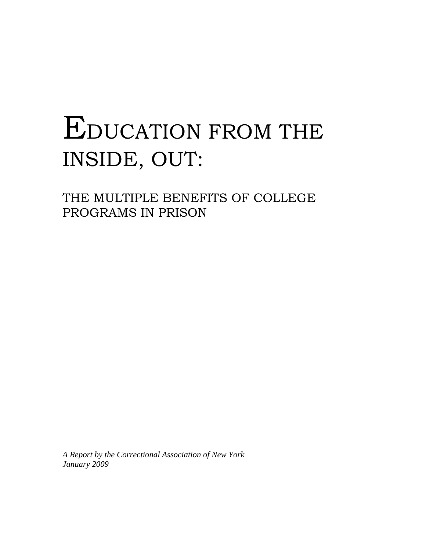# EDUCATION FROM THE INSIDE, OUT:

THE MULTIPLE BENEFITS OF COLLEGE PROGRAMS IN PRISON

*A Report by the Correctional Association of New York January 2009*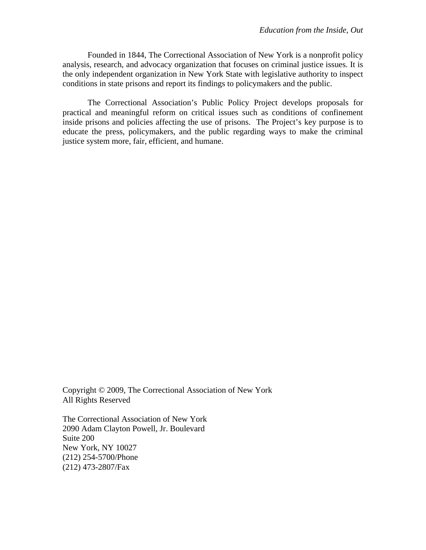Founded in 1844, The Correctional Association of New York is a nonprofit policy analysis, research, and advocacy organization that focuses on criminal justice issues. It is the only independent organization in New York State with legislative authority to inspect conditions in state prisons and report its findings to policymakers and the public.

The Correctional Association's Public Policy Project develops proposals for practical and meaningful reform on critical issues such as conditions of confinement inside prisons and policies affecting the use of prisons. The Project's key purpose is to educate the press, policymakers, and the public regarding ways to make the criminal justice system more, fair, efficient, and humane.

Copyright © 2009, The Correctional Association of New York All Rights Reserved

The Correctional Association of New York 2090 Adam Clayton Powell, Jr. Boulevard Suite 200 New York, NY 10027 (212) 254-5700/Phone (212) 473-2807/Fax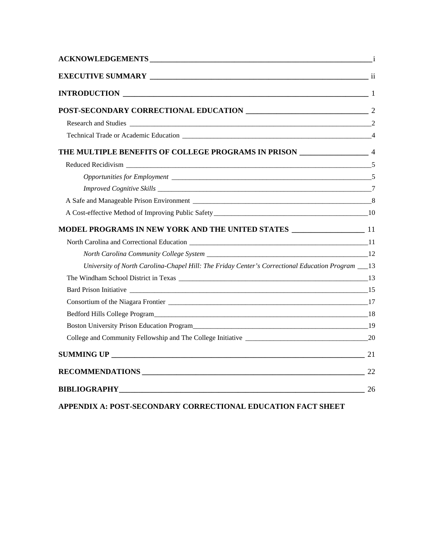| THE MULTIPLE BENEFITS OF COLLEGE PROGRAMS IN PRISON _______________________ 4                       |    |
|-----------------------------------------------------------------------------------------------------|----|
|                                                                                                     |    |
|                                                                                                     |    |
|                                                                                                     |    |
|                                                                                                     |    |
|                                                                                                     |    |
|                                                                                                     |    |
|                                                                                                     |    |
|                                                                                                     |    |
| University of North Carolina-Chapel Hill: The Friday Center's Correctional Education Program ___ 13 |    |
|                                                                                                     |    |
|                                                                                                     |    |
|                                                                                                     |    |
|                                                                                                     |    |
|                                                                                                     |    |
|                                                                                                     |    |
|                                                                                                     |    |
|                                                                                                     | 22 |
| <b>BIBLIOGRAPHY</b> 26                                                                              |    |
|                                                                                                     |    |

**APPENDIX A: POST-SECONDARY CORRECTIONAL EDUCATION FACT SHEET**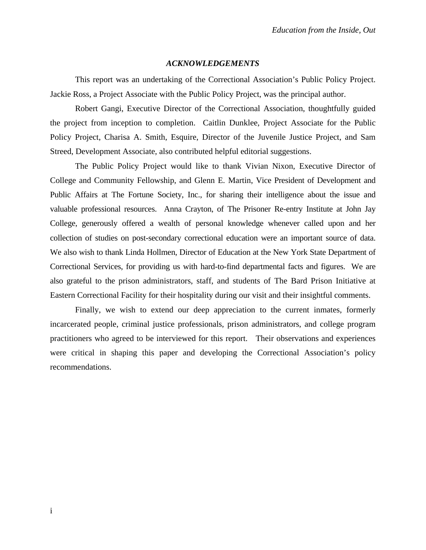#### *ACKNOWLEDGEMENTS*

This report was an undertaking of the Correctional Association's Public Policy Project. Jackie Ross, a Project Associate with the Public Policy Project, was the principal author.

Robert Gangi, Executive Director of the Correctional Association, thoughtfully guided the project from inception to completion. Caitlin Dunklee, Project Associate for the Public Policy Project, Charisa A. Smith, Esquire, Director of the Juvenile Justice Project, and Sam Streed, Development Associate, also contributed helpful editorial suggestions.

The Public Policy Project would like to thank Vivian Nixon, Executive Director of College and Community Fellowship, and Glenn E. Martin, Vice President of Development and Public Affairs at The Fortune Society, Inc., for sharing their intelligence about the issue and valuable professional resources. Anna Crayton, of The Prisoner Re-entry Institute at John Jay College, generously offered a wealth of personal knowledge whenever called upon and her collection of studies on post-secondary correctional education were an important source of data. We also wish to thank Linda Hollmen, Director of Education at the New York State Department of Correctional Services, for providing us with hard-to-find departmental facts and figures. We are also grateful to the prison administrators, staff, and students of The Bard Prison Initiative at Eastern Correctional Facility for their hospitality during our visit and their insightful comments.

Finally, we wish to extend our deep appreciation to the current inmates, formerly incarcerated people, criminal justice professionals, prison administrators, and college program practitioners who agreed to be interviewed for this report. Their observations and experiences were critical in shaping this paper and developing the Correctional Association's policy recommendations.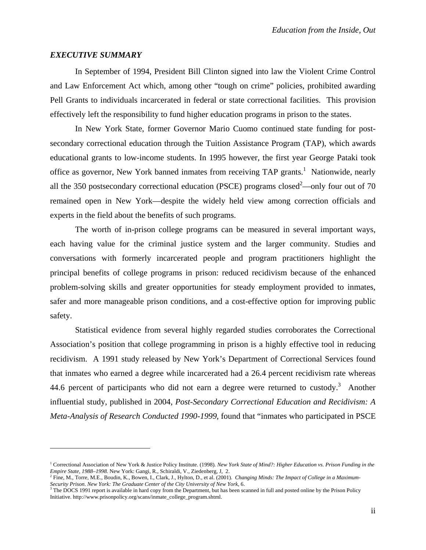#### *EXECUTIVE SUMMARY*

 $\overline{a}$ 

In September of 1994, President Bill Clinton signed into law the Violent Crime Control and Law Enforcement Act which, among other "tough on crime" policies, prohibited awarding Pell Grants to individuals incarcerated in federal or state correctional facilities. This provision effectively left the responsibility to fund higher education programs in prison to the states.

In New York State, former Governor Mario Cuomo continued state funding for postsecondary correctional education through the Tuition Assistance Program (TAP), which awards educational grants to low-income students. In 1995 however, the first year George Pataki took office as governor, New York banned inmates from receiving TAP grants.<sup>1</sup> Nationwide, nearly all the 350 postsecondary correctional education (PSCE) programs closed<sup>2</sup>—only four out of 70 remained open in New York—despite the widely held view among correction officials and experts in the field about the benefits of such programs.

The worth of in-prison college programs can be measured in several important ways, each having value for the criminal justice system and the larger community. Studies and conversations with formerly incarcerated people and program practitioners highlight the principal benefits of college programs in prison: reduced recidivism because of the enhanced problem-solving skills and greater opportunities for steady employment provided to inmates, safer and more manageable prison conditions, and a cost-effective option for improving public safety.

Statistical evidence from several highly regarded studies corroborates the Correctional Association's position that college programming in prison is a highly effective tool in reducing recidivism. A 1991 study released by New York's Department of Correctional Services found that inmates who earned a degree while incarcerated had a 26.4 percent recidivism rate whereas 44.6 percent of participants who did not earn a degree were returned to custody.<sup>3</sup> Another influential study, published in 2004, *Post-Secondary Correctional Education and Recidivism: A Meta-Analysis of Research Conducted 1990-1999*, found that "inmates who participated in PSCE

<sup>&</sup>lt;sup>1</sup> Correctional Association of New York & Justice Policy Institute. (1998). New York State of Mind?: Higher Education vs. Prison Funding in the *Empire State, 1988–1998.* New York: Gangi, R., Schiraldi, V., Ziedenberg, J, 2.

<sup>2</sup> Fine, M., Torre, M.E., Boudin, K., Bowen, I., Clark, J., Hylton, D., et al. (2001). *Changing Minds: The Impact of College in a Maximum-*Security Prison. New York: The Graduate Center of the City University of New York, 6.<br><sup>3</sup> The DOCS 1991 report is available in hard copy from the Department, but has been scanned in full and posted online by the Prison Pol

Initiative. http://www.prisonpolicy.org/scans/inmate\_college\_program.shtml.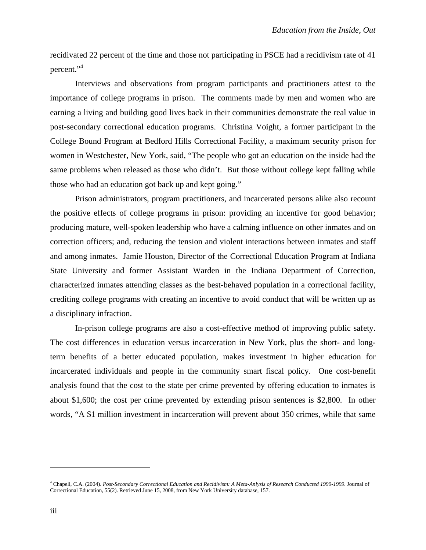recidivated 22 percent of the time and those not participating in PSCE had a recidivism rate of 41 percent."<sup>4</sup>

Interviews and observations from program participants and practitioners attest to the importance of college programs in prison. The comments made by men and women who are earning a living and building good lives back in their communities demonstrate the real value in post-secondary correctional education programs. Christina Voight, a former participant in the College Bound Program at Bedford Hills Correctional Facility, a maximum security prison for women in Westchester, New York, said, "The people who got an education on the inside had the same problems when released as those who didn't. But those without college kept falling while those who had an education got back up and kept going."

Prison administrators, program practitioners, and incarcerated persons alike also recount the positive effects of college programs in prison: providing an incentive for good behavior; producing mature, well-spoken leadership who have a calming influence on other inmates and on correction officers; and, reducing the tension and violent interactions between inmates and staff and among inmates. Jamie Houston, Director of the Correctional Education Program at Indiana State University and former Assistant Warden in the Indiana Department of Correction, characterized inmates attending classes as the best-behaved population in a correctional facility, crediting college programs with creating an incentive to avoid conduct that will be written up as a disciplinary infraction.

In-prison college programs are also a cost-effective method of improving public safety. The cost differences in education versus incarceration in New York, plus the short- and longterm benefits of a better educated population, makes investment in higher education for incarcerated individuals and people in the community smart fiscal policy. One cost-benefit analysis found that the cost to the state per crime prevented by offering education to inmates is about \$1,600; the cost per crime prevented by extending prison sentences is \$2,800. In other words, "A \$1 million investment in incarceration will prevent about 350 crimes, while that same

<sup>4</sup> Chapell, C.A. (2004). *Post-Secondary Correctional Education and Recidivism: A Meta-Anlysis of Research Conducted 1990-1999.* Journal of Correctional Education, 55(2). Retrieved June 15, 2008, from New York University database, 157.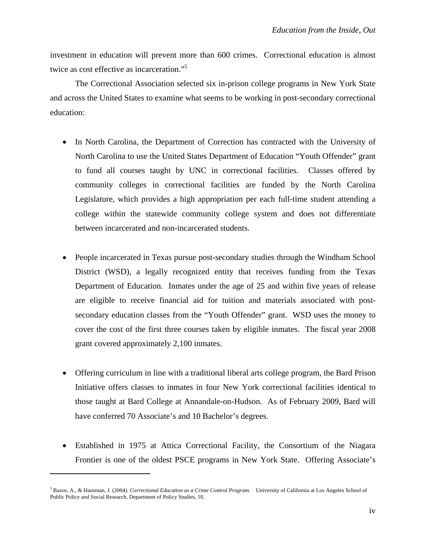investment in education will prevent more than 600 crimes. Correctional education is almost twice as cost effective as incarceration."<sup>5</sup>

The Correctional Association selected six in-prison college programs in New York State and across the United States to examine what seems to be working in post-secondary correctional education:

- In North Carolina, the Department of Correction has contracted with the University of North Carolina to use the United States Department of Education "Youth Offender" grant to fund all courses taught by UNC in correctional facilities. Classes offered by community colleges in correctional facilities are funded by the North Carolina Legislature, which provides a high appropriation per each full-time student attending a college within the statewide community college system and does not differentiate between incarcerated and non-incarcerated students.
- People incarcerated in Texas pursue post-secondary studies through the Windham School District (WSD), a legally recognized entity that receives funding from the Texas Department of Education. Inmates under the age of 25 and within five years of release are eligible to receive financial aid for tuition and materials associated with postsecondary education classes from the "Youth Offender" grant. WSD uses the money to cover the cost of the first three courses taken by eligible inmates. The fiscal year 2008 grant covered approximately 2,100 inmates.
- Offering curriculum in line with a traditional liberal arts college program, the Bard Prison Initiative offers classes to inmates in four New York correctional facilities identical to those taught at Bard College at Annandale-on-Hudson. As of February 2009, Bard will have conferred 70 Associate's and 10 Bachelor's degrees.
- Established in 1975 at Attica Correctional Facility, the Consortium of the Niagara Frontier is one of the oldest PSCE programs in New York State. Offering Associate's

<sup>5</sup> Bazos, A., & Hausman, J. (2004). *Correctional Education as a Crime Control Program.* University of California at Los Angeles School of Public Policy and Social Research, Department of Policy Studies, 10.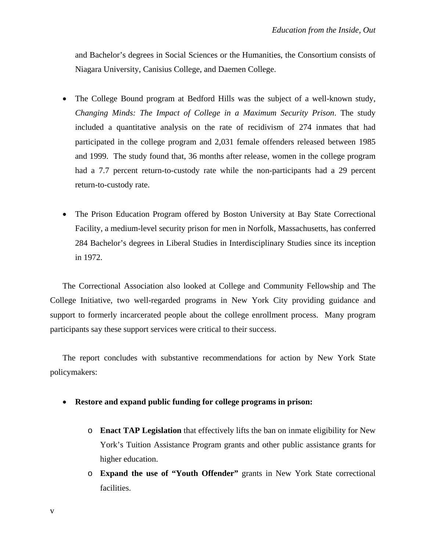and Bachelor's degrees in Social Sciences or the Humanities, the Consortium consists of Niagara University, Canisius College, and Daemen College.

- The College Bound program at Bedford Hills was the subject of a well-known study, *Changing Minds: The Impact of College in a Maximum Security Prison*. The study included a quantitative analysis on the rate of recidivism of 274 inmates that had participated in the college program and 2,031 female offenders released between 1985 and 1999. The study found that, 36 months after release, women in the college program had a 7.7 percent return-to-custody rate while the non-participants had a 29 percent return-to-custody rate.
- The Prison Education Program offered by Boston University at Bay State Correctional Facility, a medium-level security prison for men in Norfolk, Massachusetts, has conferred 284 Bachelor's degrees in Liberal Studies in Interdisciplinary Studies since its inception in 1972.

The Correctional Association also looked at College and Community Fellowship and The College Initiative, two well-regarded programs in New York City providing guidance and support to formerly incarcerated people about the college enrollment process. Many program participants say these support services were critical to their success.

The report concludes with substantive recommendations for action by New York State policymakers:

- **Restore and expand public funding for college programs in prison:** 
	- o **Enact TAP Legislation** that effectively lifts the ban on inmate eligibility for New York's Tuition Assistance Program grants and other public assistance grants for higher education.
	- o **Expand the use of "Youth Offender"** grants in New York State correctional facilities.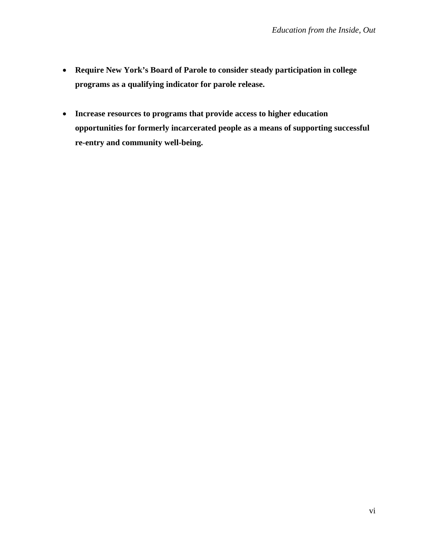- **Require New York's Board of Parole to consider steady participation in college programs as a qualifying indicator for parole release.**
- **Increase resources to programs that provide access to higher education opportunities for formerly incarcerated people as a means of supporting successful re-entry and community well-being.**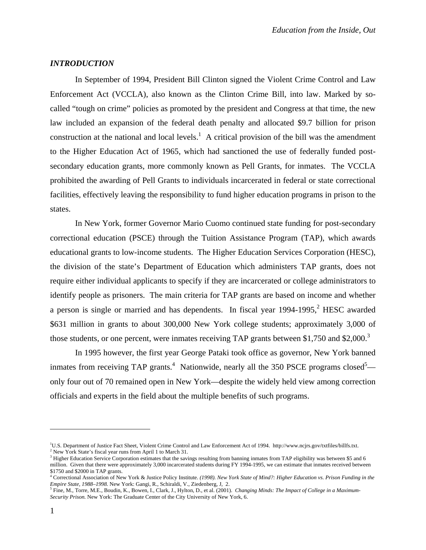#### *INTRODUCTION*

In September of 1994, President Bill Clinton signed the Violent Crime Control and Law Enforcement Act (VCCLA), also known as the Clinton Crime Bill, into law. Marked by socalled "tough on crime" policies as promoted by the president and Congress at that time, the new law included an expansion of the federal death penalty and allocated \$9.7 billion for prison construction at the national and local levels.<sup>1</sup> A critical provision of the bill was the amendment to the Higher Education Act of 1965, which had sanctioned the use of federally funded postsecondary education grants, more commonly known as Pell Grants, for inmates. The VCCLA prohibited the awarding of Pell Grants to individuals incarcerated in federal or state correctional facilities, effectively leaving the responsibility to fund higher education programs in prison to the states.

In New York, former Governor Mario Cuomo continued state funding for post-secondary correctional education (PSCE) through the Tuition Assistance Program (TAP), which awards educational grants to low-income students. The Higher Education Services Corporation (HESC), the division of the state's Department of Education which administers TAP grants, does not require either individual applicants to specify if they are incarcerated or college administrators to identify people as prisoners. The main criteria for TAP grants are based on income and whether a person is single or married and has dependents. In fiscal year  $1994-1995$ , HESC awarded \$631 million in grants to about 300,000 New York college students; approximately 3,000 of those students, or one percent, were inmates receiving TAP grants between \$1,750 and \$2,000.<sup>3</sup>

In 1995 however, the first year George Pataki took office as governor, New York banned inmates from receiving TAP grants.<sup>4</sup> Nationwide, nearly all the 350 PSCE programs closed<sup>5</sup> only four out of 70 remained open in New York—despite the widely held view among correction officials and experts in the field about the multiple benefits of such programs.

<sup>&</sup>lt;sup>1</sup>U.S. Department of Justice Fact Sheet, Violent Crime Control and Law Enforcement Act of 1994. http://www.ncjrs.gov/txtfiles/billfs.txt.  $2$  New York State's fiscal year runs from April 1 to March 31.

 $3$  Higher Education Service Corporation estimates that the savings resulting from banning inmates from TAP eligibility was between \$5 and 6 million. Given that there were approximately 3,000 incarcerated students during FY 1994-1995, we can estimate that inmates received between \$1750 and \$2000 in TAP grants.

<sup>4</sup> Correctional Association of New York & Justice Policy Institute. *(1998). New York State of Mind?: Higher Education vs. Prison Funding in the*  Empire State, 1988–1998. New York: Gangi, R., Schiraldi, V., Ziedenberg, J, 2.<br><sup>5</sup> Fine, M., Torre, M.E., Boudin, K., Bowen, I., Clark, J., Hylton, D., et al. (2001). *Changing Minds: The Impact of College in a Maximum*-

*Security Prison.* New York: The Graduate Center of the City University of New York, 6.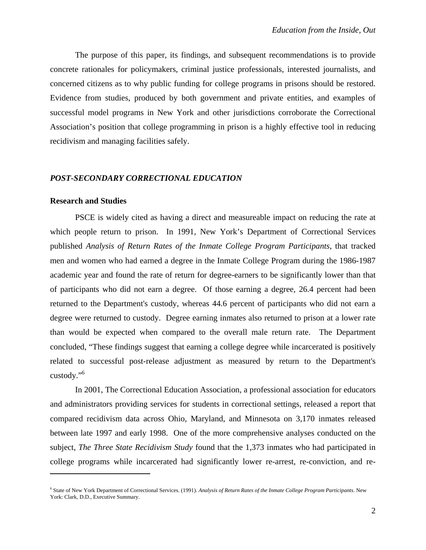The purpose of this paper, its findings, and subsequent recommendations is to provide concrete rationales for policymakers, criminal justice professionals, interested journalists, and concerned citizens as to why public funding for college programs in prisons should be restored. Evidence from studies, produced by both government and private entities, and examples of successful model programs in New York and other jurisdictions corroborate the Correctional Association's position that college programming in prison is a highly effective tool in reducing recidivism and managing facilities safely.

#### *POST-SECONDARY CORRECTIONAL EDUCATION*

#### **Research and Studies**

 $\overline{a}$ 

PSCE is widely cited as having a direct and measureable impact on reducing the rate at which people return to prison. In 1991, New York's Department of Correctional Services published *Analysis of Return Rates of the Inmate College Program Participants*, that tracked men and women who had earned a degree in the Inmate College Program during the 1986-1987 academic year and found the rate of return for degree-earners to be significantly lower than that of participants who did not earn a degree. Of those earning a degree, 26.4 percent had been returned to the Department's custody, whereas 44.6 percent of participants who did not earn a degree were returned to custody. Degree earning inmates also returned to prison at a lower rate than would be expected when compared to the overall male return rate. The Department concluded, "These findings suggest that earning a college degree while incarcerated is positively related to successful post-release adjustment as measured by return to the Department's custody."6

In 2001, The Correctional Education Association, a professional association for educators and administrators providing services for students in correctional settings, released a report that compared recidivism data across Ohio, Maryland, and Minnesota on 3,170 inmates released between late 1997 and early 1998. One of the more comprehensive analyses conducted on the subject, *The Three State Recidivism Study* found that the 1,373 inmates who had participated in college programs while incarcerated had significantly lower re-arrest, re-conviction, and re-

<sup>6</sup> State of New York Department of Correctional Services. (1991). *Analysis of Return Rates of the Inmate College Program Participants*. New York: Clark, D.D., Executive Summary.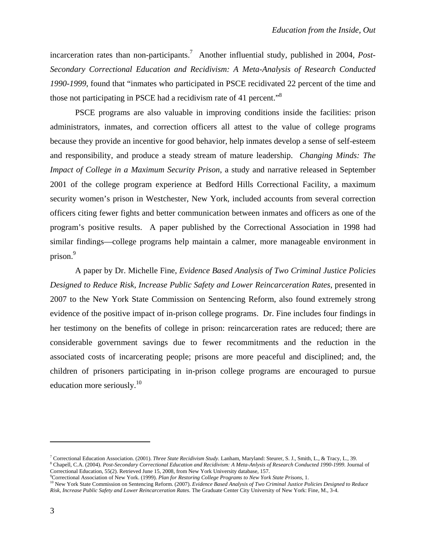incarceration rates than non-participants.<sup>7</sup> Another influential study, published in 2004, *Post-Secondary Correctional Education and Recidivism: A Meta-Analysis of Research Conducted 1990-1999*, found that "inmates who participated in PSCE recidivated 22 percent of the time and those not participating in PSCE had a recidivism rate of 41 percent."<sup>8</sup>

PSCE programs are also valuable in improving conditions inside the facilities: prison administrators, inmates, and correction officers all attest to the value of college programs because they provide an incentive for good behavior, help inmates develop a sense of self-esteem and responsibility, and produce a steady stream of mature leadership. *Changing Minds: The Impact of College in a Maximum Security Prison*, a study and narrative released in September 2001 of the college program experience at Bedford Hills Correctional Facility, a maximum security women's prison in Westchester, New York, included accounts from several correction officers citing fewer fights and better communication between inmates and officers as one of the program's positive results. A paper published by the Correctional Association in 1998 had similar findings—college programs help maintain a calmer, more manageable environment in prison.<sup>9</sup>

A paper by Dr. Michelle Fine, *Evidence Based Analysis of Two Criminal Justice Policies Designed to Reduce Risk, Increase Public Safety and Lower Reincarceration Rates*, presented in 2007 to the New York State Commission on Sentencing Reform, also found extremely strong evidence of the positive impact of in-prison college programs. Dr. Fine includes four findings in her testimony on the benefits of college in prison: reincarceration rates are reduced; there are considerable government savings due to fewer recommitments and the reduction in the associated costs of incarcerating people; prisons are more peaceful and disciplined; and, the children of prisoners participating in in-prison college programs are encouraged to pursue education more seriously. $10$ 

<sup>&</sup>lt;sup>7</sup> Correctional Education Association. (2001). *Three State Recidivism Study*. Lanham, Maryland: Steurer, S. J., Smith, L., & Tracy, L., 39.<br><sup>8</sup> Chapell, C.A. (2004). *Past Seggndam: Correctional Education and Pegidivismy* <sup>8</sup> Chapell, C.A. (2004). *Post-Secondary Correctional Education and Recidivism: A Meta-Anlysis of Research Conducted 1990-1999. Journal of Correctional Education, 55(2). Retrieved June 15, 2008, from New York University d* Correctional Education, 55(2). Retrieved June 15, 2008, from New York University database, 157.

<sup>&</sup>lt;sup>9</sup>Correctional Association of New York. (1999). *Plan for Restoring College Programs to New York State Prisons*, 1.<br><sup>10</sup> New York State Commission on Sentencing Reform. (2007). *Evidence Based Analysis of Two Criminal Jus Risk, Increase Public Safety and Lower Reincarceration Rates.* The Graduate Center City University of New York: Fine, M., 3-4.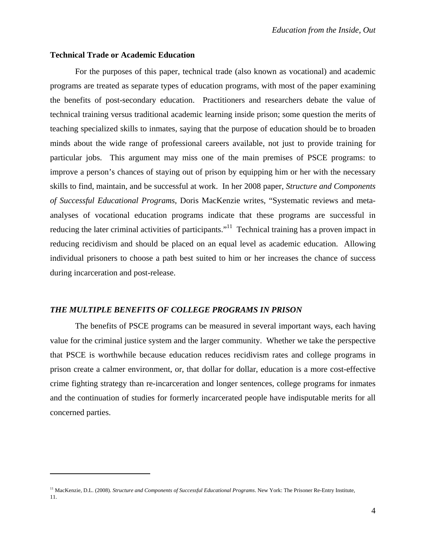#### **Technical Trade or Academic Education**

1

For the purposes of this paper, technical trade (also known as vocational) and academic programs are treated as separate types of education programs, with most of the paper examining the benefits of post-secondary education. Practitioners and researchers debate the value of technical training versus traditional academic learning inside prison; some question the merits of teaching specialized skills to inmates, saying that the purpose of education should be to broaden minds about the wide range of professional careers available, not just to provide training for particular jobs. This argument may miss one of the main premises of PSCE programs: to improve a person's chances of staying out of prison by equipping him or her with the necessary skills to find, maintain, and be successful at work. In her 2008 paper, *Structure and Components of Successful Educational Programs*, Doris MacKenzie writes, "Systematic reviews and metaanalyses of vocational education programs indicate that these programs are successful in reducing the later criminal activities of participants.<sup>"11</sup> Technical training has a proven impact in reducing recidivism and should be placed on an equal level as academic education. Allowing individual prisoners to choose a path best suited to him or her increases the chance of success during incarceration and post-release.

## *THE MULTIPLE BENEFITS OF COLLEGE PROGRAMS IN PRISON*

The benefits of PSCE programs can be measured in several important ways, each having value for the criminal justice system and the larger community. Whether we take the perspective that PSCE is worthwhile because education reduces recidivism rates and college programs in prison create a calmer environment, or, that dollar for dollar, education is a more cost-effective crime fighting strategy than re-incarceration and longer sentences, college programs for inmates and the continuation of studies for formerly incarcerated people have indisputable merits for all concerned parties.

<sup>11</sup> MacKenzie, D.L. (2008). *Structure and Components of Successful Educational Programs*. New York: The Prisoner Re-Entry Institute, 11.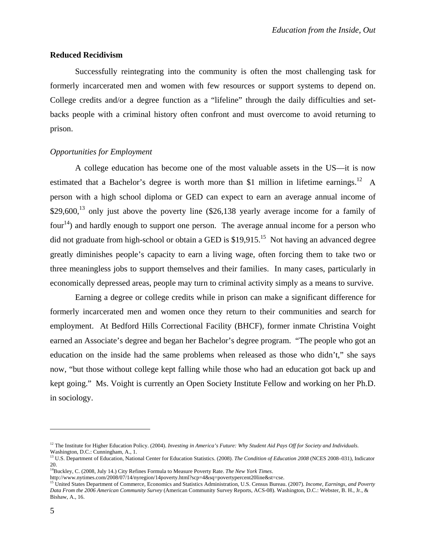#### **Reduced Recidivism**

 Successfully reintegrating into the community is often the most challenging task for formerly incarcerated men and women with few resources or support systems to depend on. College credits and/or a degree function as a "lifeline" through the daily difficulties and setbacks people with a criminal history often confront and must overcome to avoid returning to prison.

#### *Opportunities for Employment*

A college education has become one of the most valuable assets in the US—it is now estimated that a Bachelor's degree is worth more than \$1 million in lifetime earnings.<sup>12</sup> A person with a high school diploma or GED can expect to earn an average annual income of  $$29,600<sup>13</sup>$  only just above the poverty line (\$26,138 yearly average income for a family of four<sup>14</sup>) and hardly enough to support one person. The average annual income for a person who did not graduate from high-school or obtain a GED is  $$19,915$ <sup>15</sup> Not having an advanced degree greatly diminishes people's capacity to earn a living wage, often forcing them to take two or three meaningless jobs to support themselves and their families. In many cases, particularly in economically depressed areas, people may turn to criminal activity simply as a means to survive.

Earning a degree or college credits while in prison can make a significant difference for formerly incarcerated men and women once they return to their communities and search for employment. At Bedford Hills Correctional Facility (BHCF), former inmate Christina Voight earned an Associate's degree and began her Bachelor's degree program. "The people who got an education on the inside had the same problems when released as those who didn't," she says now, "but those without college kept falling while those who had an education got back up and kept going." Ms. Voight is currently an Open Society Institute Fellow and working on her Ph.D. in sociology.

<sup>&</sup>lt;sup>12</sup> The Institute for Higher Education Policy. (2004). *Investing in America's Future: Why Student Aid Pays Off for Society and Individuals.* Washington, D.C.: Cunningham, A., 1.

<sup>13</sup> U.S. Department of Education, National Center for Education Statistics. (2008). *The Condition of Education 2008* (NCES 2008–031), Indicator 20.

<sup>14</sup>Buckley, C. (2008, July 14.) City Refines Formula to Measure Poverty Rate. *The New York Times*.

http://www.nytimes.com/2008/07/14/nyregion/14poverty.html?scp=4&sq=povertypercent20line&st=cse.<br><sup>15</sup> United States Department of Commerce, Economics and Statistics Administration, U.S. Census Bureau. (2007). *Income, Earni Data From the 2006 American Community Survey* (American Community Survey Reports, ACS-08). Washington, D.C.: Webster, B. H., Jr., & Bishaw, A., 16.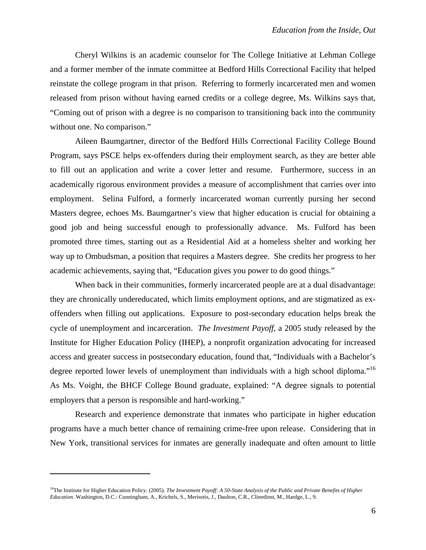Cheryl Wilkins is an academic counselor for The College Initiative at Lehman College and a former member of the inmate committee at Bedford Hills Correctional Facility that helped reinstate the college program in that prison. Referring to formerly incarcerated men and women released from prison without having earned credits or a college degree, Ms. Wilkins says that, "Coming out of prison with a degree is no comparison to transitioning back into the community without one. No comparison."

Aileen Baumgartner, director of the Bedford Hills Correctional Facility College Bound Program, says PSCE helps ex-offenders during their employment search, as they are better able to fill out an application and write a cover letter and resume. Furthermore, success in an academically rigorous environment provides a measure of accomplishment that carries over into employment. Selina Fulford, a formerly incarcerated woman currently pursing her second Masters degree, echoes Ms. Baumgartner's view that higher education is crucial for obtaining a good job and being successful enough to professionally advance. Ms. Fulford has been promoted three times, starting out as a Residential Aid at a homeless shelter and working her way up to Ombudsman, a position that requires a Masters degree. She credits her progress to her academic achievements, saying that, "Education gives you power to do good things."

When back in their communities, formerly incarcerated people are at a dual disadvantage: they are chronically undereducated, which limits employment options, and are stigmatized as exoffenders when filling out applications. Exposure to post-secondary education helps break the cycle of unemployment and incarceration. *The Investment Payoff,* a 2005 study released by the Institute for Higher Education Policy (IHEP), a nonprofit organization advocating for increased access and greater success in postsecondary education, found that, "Individuals with a Bachelor's degree reported lower levels of unemployment than individuals with a high school diploma."<sup>16</sup> As Ms. Voight, the BHCF College Bound graduate, explained: "A degree signals to potential employers that a person is responsible and hard-working."

Research and experience demonstrate that inmates who participate in higher education programs have a much better chance of remaining crime-free upon release. Considering that in New York, transitional services for inmates are generally inadequate and often amount to little

1

<sup>16</sup>The Institute for Higher Education Policy. (2005). *The Investment Payoff: A 50-State Analysis of the Public and Private Benefits of Higher Education*. Washington, D.C.: Cunningham, A., Krichels, S., Merisotis, J., Daulton, C.R., Clinedinst, M., Hardge, L., 9.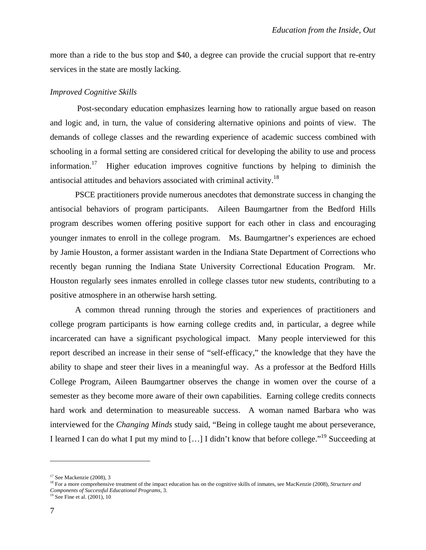more than a ride to the bus stop and \$40, a degree can provide the crucial support that re-entry services in the state are mostly lacking.

#### *Improved Cognitive Skills*

 Post-secondary education emphasizes learning how to rationally argue based on reason and logic and, in turn, the value of considering alternative opinions and points of view. The demands of college classes and the rewarding experience of academic success combined with schooling in a formal setting are considered critical for developing the ability to use and process information.<sup>17</sup> Higher education improves cognitive functions by helping to diminish the antisocial attitudes and behaviors associated with criminal activity.18

PSCE practitioners provide numerous anecdotes that demonstrate success in changing the antisocial behaviors of program participants. Aileen Baumgartner from the Bedford Hills program describes women offering positive support for each other in class and encouraging younger inmates to enroll in the college program. Ms. Baumgartner's experiences are echoed by Jamie Houston, a former assistant warden in the Indiana State Department of Corrections who recently began running the Indiana State University Correctional Education Program. Mr. Houston regularly sees inmates enrolled in college classes tutor new students, contributing to a positive atmosphere in an otherwise harsh setting.

A common thread running through the stories and experiences of practitioners and college program participants is how earning college credits and, in particular, a degree while incarcerated can have a significant psychological impact. Many people interviewed for this report described an increase in their sense of "self-efficacy," the knowledge that they have the ability to shape and steer their lives in a meaningful way. As a professor at the Bedford Hills College Program, Aileen Baumgartner observes the change in women over the course of a semester as they become more aware of their own capabilities. Earning college credits connects hard work and determination to measureable success. A woman named Barbara who was interviewed for the *Changing Minds* study said, "Being in college taught me about perseverance, I learned I can do what I put my mind to [...] I didn't know that before college."<sup>19</sup> Succeeding at

 $17$  See Mackenzie (2008), 3

<sup>18</sup> For a more comprehensive treatment of the impact education has on the cognitive skills of inmates, see MacKenzie (2008), *Structure and Components of Successful Educational Programs*, 3. 19 See Fine et al. (2001), 10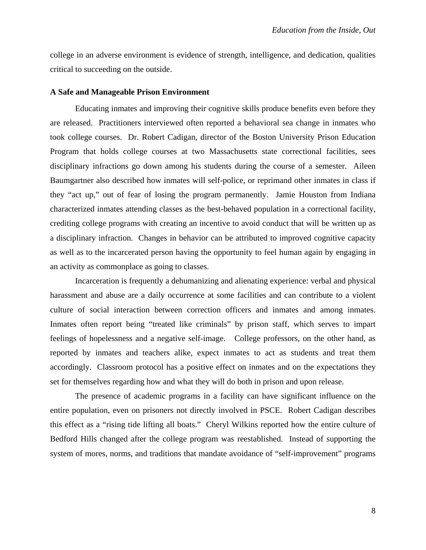college in an adverse environment is evidence of strength, intelligence, and dedication, qualities critical to succeeding on the outside.

#### **A Safe and Manageable Prison Environment**

Educating inmates and improving their cognitive skills produce benefits even before they are released. Practitioners interviewed often reported a behavioral sea change in inmates who took college courses. Dr. Robert Cadigan, director of the Boston University Prison Education Program that holds college courses at two Massachusetts state correctional facilities, sees disciplinary infractions go down among his students during the course of a semester. Aileen Baumgartner also described how inmates will self-police, or reprimand other inmates in class if they "act up," out of fear of losing the program permanently. Jamie Houston from Indiana characterized inmates attending classes as the best-behaved population in a correctional facility, crediting college programs with creating an incentive to avoid conduct that will be written up as a disciplinary infraction. Changes in behavior can be attributed to improved cognitive capacity as well as to the incarcerated person having the opportunity to feel human again by engaging in an activity as commonplace as going to classes.

Incarceration is frequently a dehumanizing and alienating experience: verbal and physical harassment and abuse are a daily occurrence at some facilities and can contribute to a violent culture of social interaction between correction officers and inmates and among inmates. Inmates often report being "treated like criminals" by prison staff, which serves to impart feelings of hopelessness and a negative self-image. College professors, on the other hand, as reported by inmates and teachers alike, expect inmates to act as students and treat them accordingly. Classroom protocol has a positive effect on inmates and on the expectations they set for themselves regarding how and what they will do both in prison and upon release.

The presence of academic programs in a facility can have significant influence on the entire population, even on prisoners not directly involved in PSCE. Robert Cadigan describes this effect as a "rising tide lifting all boats." Cheryl Wilkins reported how the entire culture of Bedford Hills changed after the college program was reestablished. Instead of supporting the system of mores, norms, and traditions that mandate avoidance of "self-improvement" programs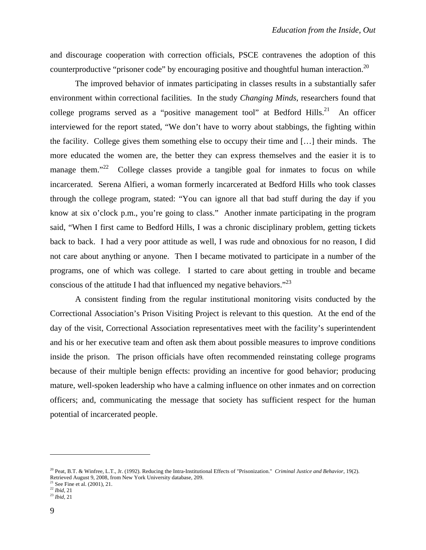and discourage cooperation with correction officials, PSCE contravenes the adoption of this counterproductive "prisoner code" by encouraging positive and thoughtful human interaction.<sup>20</sup>

The improved behavior of inmates participating in classes results in a substantially safer environment within correctional facilities. In the study *Changing Minds*, researchers found that college programs served as a "positive management tool" at Bedford Hills.<sup>21</sup> An officer interviewed for the report stated, "We don't have to worry about stabbings, the fighting within the facility. College gives them something else to occupy their time and […] their minds. The more educated the women are, the better they can express themselves and the easier it is to manage them."<sup>22</sup> College classes provide a tangible goal for inmates to focus on while incarcerated. Serena Alfieri, a woman formerly incarcerated at Bedford Hills who took classes through the college program, stated: "You can ignore all that bad stuff during the day if you know at six o'clock p.m., you're going to class." Another inmate participating in the program said, "When I first came to Bedford Hills, I was a chronic disciplinary problem, getting tickets back to back. I had a very poor attitude as well, I was rude and obnoxious for no reason, I did not care about anything or anyone. Then I became motivated to participate in a number of the programs, one of which was college. I started to care about getting in trouble and became conscious of the attitude I had that influenced my negative behaviors."<sup>23</sup>

 A consistent finding from the regular institutional monitoring visits conducted by the Correctional Association's Prison Visiting Project is relevant to this question. At the end of the day of the visit, Correctional Association representatives meet with the facility's superintendent and his or her executive team and often ask them about possible measures to improve conditions inside the prison. The prison officials have often recommended reinstating college programs because of their multiple benign effects: providing an incentive for good behavior; producing mature, well-spoken leadership who have a calming influence on other inmates and on correction officers; and, communicating the message that society has sufficient respect for the human potential of incarcerated people.

<sup>20</sup> Peat, B.T. & Winfree, L.T., Jr. (1992). Reducing the Intra-Institutional Effects of "Prisonization." *Criminal Justice and Behavior*, 19(2). Retrieved August 9, 2008, from New York University database, 209.<br>
<sup>21</sup> See Eine et al. (2001), 21.

<sup>&</sup>lt;sup>21</sup> See Fine et al. (2001), 21.<br><sup>22</sup> *Ibid*, 21

<sup>22</sup> *Ibid*, 21 23 *Ibid,* <sup>21</sup>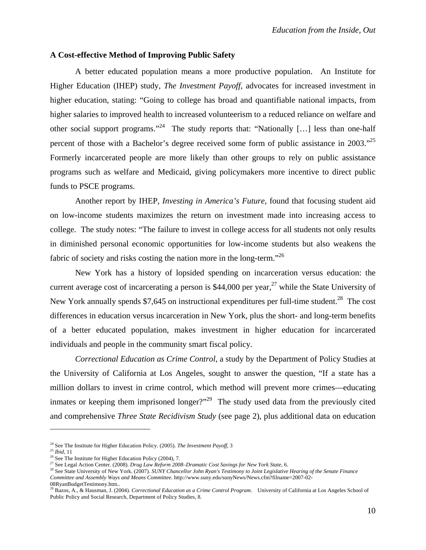#### **A Cost-effective Method of Improving Public Safety**

 A better educated population means a more productive population. An Institute for Higher Education (IHEP) study, *The Investment Payoff*, advocates for increased investment in higher education, stating: "Going to college has broad and quantifiable national impacts, from higher salaries to improved health to increased volunteerism to a reduced reliance on welfare and other social support programs."<sup>24</sup> The study reports that: "Nationally [...] less than one-half percent of those with a Bachelor's degree received some form of public assistance in 2003.<sup>725</sup> Formerly incarcerated people are more likely than other groups to rely on public assistance programs such as welfare and Medicaid, giving policymakers more incentive to direct public funds to PSCE programs.

 Another report by IHEP, *Investing in America's Future*, found that focusing student aid on low-income students maximizes the return on investment made into increasing access to college. The study notes: "The failure to invest in college access for all students not only results in diminished personal economic opportunities for low-income students but also weakens the fabric of society and risks costing the nation more in the long-term."<sup>26</sup>

New York has a history of lopsided spending on incarceration versus education: the current average cost of incarcerating a person is  $$44,000$  per year,<sup>27</sup> while the State University of New York annually spends \$7,645 on instructional expenditures per full-time student.<sup>28</sup> The cost differences in education versus incarceration in New York, plus the short- and long-term benefits of a better educated population, makes investment in higher education for incarcerated individuals and people in the community smart fiscal policy.

*Correctional Education as Crime Control*, a study by the Department of Policy Studies at the University of California at Los Angeles, sought to answer the question, "If a state has a million dollars to invest in crime control, which method will prevent more crimes—educating inmates or keeping them imprisoned longer?"<sup>29</sup> The study used data from the previously cited and comprehensive *Three State Recidivism Study* (see page 2), plus additional data on education

1

<sup>&</sup>lt;sup>24</sup> See The Institute for Higher Education Policy. (2005). *The Investment Payoff*, 3<br><sup>25</sup> *Ibid*, 11<br><sup>26</sup> See The Institute for Higher Education Policy (2004), 7.<br><sup>27</sup> See Legal Action Center. (2008). *Drug Law Reform 2 Committee and Assembly Ways and Means Committee*. http://www.suny.edu/sunyNews/News.cfm?filname=2007-02-

<sup>08</sup>RyanBudgetTestimony.htm..

<sup>29</sup> Bazos, A., & Hausman, J. (2004). *Correctional Education as a Crime Control Program.* University of California at Los Angeles School of Public Policy and Social Research, Department of Policy Studies, 8.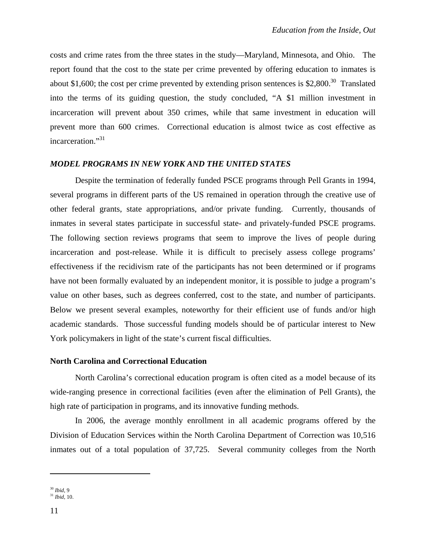costs and crime rates from the three states in the study—Maryland, Minnesota, and Ohio. The report found that the cost to the state per crime prevented by offering education to inmates is about \$1,600; the cost per crime prevented by extending prison sentences is  $$2,800<sup>30</sup>$  Translated into the terms of its guiding question, the study concluded, "A \$1 million investment in incarceration will prevent about 350 crimes, while that same investment in education will prevent more than 600 crimes. Correctional education is almost twice as cost effective as incarceration."<sup>31</sup>

# *MODEL PROGRAMS IN NEW YORK AND THE UNITED STATES*

 Despite the termination of federally funded PSCE programs through Pell Grants in 1994, several programs in different parts of the US remained in operation through the creative use of other federal grants, state appropriations, and/or private funding. Currently, thousands of inmates in several states participate in successful state- and privately-funded PSCE programs. The following section reviews programs that seem to improve the lives of people during incarceration and post-release. While it is difficult to precisely assess college programs' effectiveness if the recidivism rate of the participants has not been determined or if programs have not been formally evaluated by an independent monitor, it is possible to judge a program's value on other bases, such as degrees conferred, cost to the state, and number of participants. Below we present several examples, noteworthy for their efficient use of funds and/or high academic standards. Those successful funding models should be of particular interest to New York policymakers in light of the state's current fiscal difficulties.

## **North Carolina and Correctional Education**

North Carolina's correctional education program is often cited as a model because of its wide-ranging presence in correctional facilities (even after the elimination of Pell Grants), the high rate of participation in programs, and its innovative funding methods.

In 2006, the average monthly enrollment in all academic programs offered by the Division of Education Services within the North Carolina Department of Correction was 10,516 inmates out of a total population of 37,725. Several community colleges from the North

<sup>30</sup> *Ibid,* 9

<sup>31</sup> *Ibid,* 10.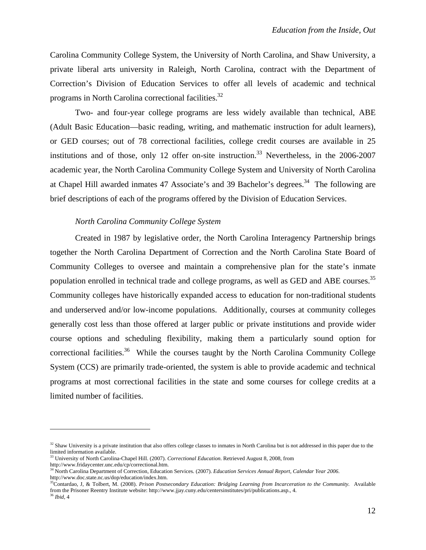Carolina Community College System, the University of North Carolina, and Shaw University, a private liberal arts university in Raleigh, North Carolina, contract with the Department of Correction's Division of Education Services to offer all levels of academic and technical programs in North Carolina correctional facilities.<sup>32</sup>

Two- and four-year college programs are less widely available than technical, ABE (Adult Basic Education—basic reading, writing, and mathematic instruction for adult learners), or GED courses; out of 78 correctional facilities, college credit courses are available in 25 institutions and of those, only 12 offer on-site instruction.<sup>33</sup> Nevertheless, in the  $2006-2007$ academic year, the North Carolina Community College System and University of North Carolina at Chapel Hill awarded inmates 47 Associate's and 39 Bachelor's degrees.<sup>34</sup> The following are brief descriptions of each of the programs offered by the Division of Education Services.

## *North Carolina Community College System*

Created in 1987 by legislative order, the North Carolina Interagency Partnership brings together the North Carolina Department of Correction and the North Carolina State Board of Community Colleges to oversee and maintain a comprehensive plan for the state's inmate population enrolled in technical trade and college programs, as well as GED and ABE courses.<sup>35</sup> Community colleges have historically expanded access to education for non-traditional students and underserved and/or low-income populations. Additionally, courses at community colleges generally cost less than those offered at larger public or private institutions and provide wider course options and scheduling flexibility, making them a particularly sound option for correctional facilities.<sup>36</sup> While the courses taught by the North Carolina Community College System (CCS) are primarily trade-oriented, the system is able to provide academic and technical programs at most correctional facilities in the state and some courses for college credits at a limited number of facilities.

1

 $32$  Shaw University is a private institution that also offers college classes to inmates in North Carolina but is not addressed in this paper due to the limited information available.

<sup>33</sup> University of North Carolina-Chapel Hill. (2007). *Correctional Education*. Retrieved August 8, 2008, from

http://www.fridaycenter.unc.edu/cp/correctional.htm.<br><sup>34</sup> North Carolina Department of Correction, Education Services. (2007). *Education Services Annual Report, Calendar Year 2006*.<br>http://www.doc.state.nc.us/dop/educatio

<sup>&</sup>lt;sup>35</sup>Contardao, J, & Tolbert, M. (2008). *Prison Postsecondary Education: Bridging Learning from Incarceration to the Community.* Available from the Prisoner Reentry Institute website: http://www.jjay.cuny.edu/centersinstitutes/pri/publications.asp., 4.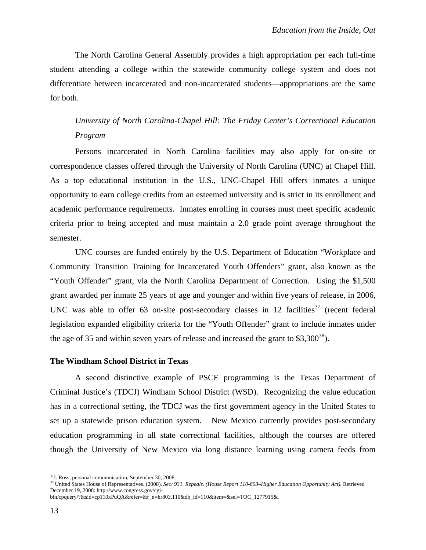The North Carolina General Assembly provides a high appropriation per each full-time student attending a college within the statewide community college system and does not differentiate between incarcerated and non-incarcerated students—appropriations are the same for both.

*University of North Carolina-Chapel Hill: The Friday Center's Correctional Education Program* 

 Persons incarcerated in North Carolina facilities may also apply for on-site or correspondence classes offered through the University of North Carolina (UNC) at Chapel Hill. As a top educational institution in the U.S., UNC-Chapel Hill offers inmates a unique opportunity to earn college credits from an esteemed university and is strict in its enrollment and academic performance requirements. Inmates enrolling in courses must meet specific academic criteria prior to being accepted and must maintain a 2.0 grade point average throughout the semester.

 UNC courses are funded entirely by the U.S. Department of Education "Workplace and Community Transition Training for Incarcerated Youth Offenders" grant, also known as the "Youth Offender" grant, via the North Carolina Department of Correction. Using the \$1,500 grant awarded per inmate 25 years of age and younger and within five years of release, in 2006, UNC was able to offer 63 on-site post-secondary classes in 12 facilities<sup>37</sup> (recent federal legislation expanded eligibility criteria for the "Youth Offender" grant to include inmates under the age of 35 and within seven years of release and increased the grant to  $$3,300^{38}$ ).

#### **The Windham School District in Texas**

A second distinctive example of PSCE programming is the Texas Department of Criminal Justice's (TDCJ) Windham School District (WSD). Recognizing the value education has in a correctional setting, the TDCJ was the first government agency in the United States to set up a statewide prison education system. New Mexico currently provides post-secondary education programming in all state correctional facilities, although the courses are offered though the University of New Mexico via long distance learning using camera feeds from

<sup>37</sup>J. Ross, personal communication, September 30, 2008.

<sup>38</sup> United States House of Representatives. (2008). *Sec/ 931. Repeals. (House Report 110-803–Higher Education Opportunity Act).* Retrieved December 19, 2008: http://www.congress.gov/cgi-

bin/cpquery/?&sid=cp110xPuQA&refer=&r\_n=hr803.110&db\_id=110&item=&sel=TOC\_1277915&*.*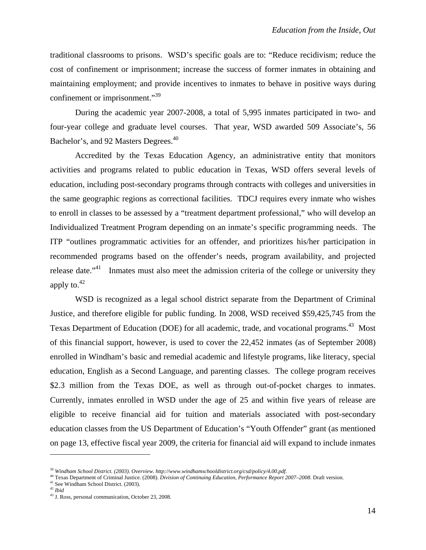traditional classrooms to prisons. WSD's specific goals are to: "Reduce recidivism; reduce the cost of confinement or imprisonment; increase the success of former inmates in obtaining and maintaining employment; and provide incentives to inmates to behave in positive ways during confinement or imprisonment."<sup>39</sup>

During the academic year 2007-2008, a total of 5,995 inmates participated in two- and four-year college and graduate level courses. That year, WSD awarded 509 Associate's, 56 Bachelor's, and 92 Masters Degrees.<sup>40</sup>

 Accredited by the Texas Education Agency, an administrative entity that monitors activities and programs related to public education in Texas, WSD offers several levels of education, including post-secondary programs through contracts with colleges and universities in the same geographic regions as correctional facilities. TDCJ requires every inmate who wishes to enroll in classes to be assessed by a "treatment department professional," who will develop an Individualized Treatment Program depending on an inmate's specific programming needs. The ITP "outlines programmatic activities for an offender, and prioritizes his/her participation in recommended programs based on the offender's needs, program availability, and projected release date."<sup>41</sup> Inmates must also meet the admission criteria of the college or university they apply to. $42$ 

 WSD is recognized as a legal school district separate from the Department of Criminal Justice, and therefore eligible for public funding. In 2008, WSD received \$59,425,745 from the Texas Department of Education (DOE) for all academic, trade, and vocational programs.<sup>43</sup> Most of this financial support, however, is used to cover the 22,452 inmates (as of September 2008) enrolled in Windham's basic and remedial academic and lifestyle programs, like literacy, special education, English as a Second Language, and parenting classes. The college program receives \$2.3 million from the Texas DOE, as well as through out-of-pocket charges to inmates. Currently, inmates enrolled in WSD under the age of 25 and within five years of release are eligible to receive financial aid for tuition and materials associated with post-secondary education classes from the US Department of Education's "Youth Offender" grant (as mentioned on page 13, effective fiscal year 2009, the criteria for financial aid will expand to include inmates

<sup>39</sup> *Windham School District. (2003). Overview. http://www.windhamschooldistrict.org/csd/policy/4.00.pdf.* 

<sup>&</sup>lt;sup>40</sup> Texas Department of Criminal Justice. (2008). *Division of Continuing Education, Performance Report 2007–2008*. Draft version. <sup>41</sup> See Windham School District. (2003).

<sup>42</sup> *Ibid* 

<sup>43</sup> J. Ross, personal communication, October 23, 2008.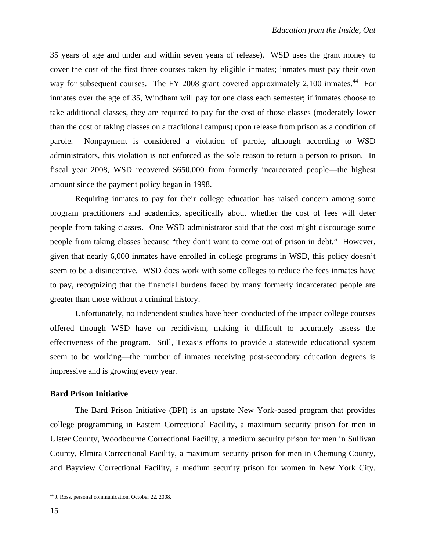35 years of age and under and within seven years of release). WSD uses the grant money to cover the cost of the first three courses taken by eligible inmates; inmates must pay their own way for subsequent courses. The FY 2008 grant covered approximately 2,100 inmates.<sup>44</sup> For inmates over the age of 35, Windham will pay for one class each semester; if inmates choose to take additional classes, they are required to pay for the cost of those classes (moderately lower than the cost of taking classes on a traditional campus) upon release from prison as a condition of parole. Nonpayment is considered a violation of parole, although according to WSD administrators, this violation is not enforced as the sole reason to return a person to prison. In fiscal year 2008, WSD recovered \$650,000 from formerly incarcerated people—the highest amount since the payment policy began in 1998.

Requiring inmates to pay for their college education has raised concern among some program practitioners and academics, specifically about whether the cost of fees will deter people from taking classes. One WSD administrator said that the cost might discourage some people from taking classes because "they don't want to come out of prison in debt." However, given that nearly 6,000 inmates have enrolled in college programs in WSD, this policy doesn't seem to be a disincentive. WSD does work with some colleges to reduce the fees inmates have to pay, recognizing that the financial burdens faced by many formerly incarcerated people are greater than those without a criminal history.

Unfortunately, no independent studies have been conducted of the impact college courses offered through WSD have on recidivism, making it difficult to accurately assess the effectiveness of the program. Still, Texas's efforts to provide a statewide educational system seem to be working—the number of inmates receiving post-secondary education degrees is impressive and is growing every year.

#### **Bard Prison Initiative**

 The Bard Prison Initiative (BPI) is an upstate New York-based program that provides college programming in Eastern Correctional Facility, a maximum security prison for men in Ulster County, Woodbourne Correctional Facility, a medium security prison for men in Sullivan County, Elmira Correctional Facility, a maximum security prison for men in Chemung County, and Bayview Correctional Facility, a medium security prison for women in New York City.

1

<sup>44</sup> J. Ross, personal communication, October 22, 2008.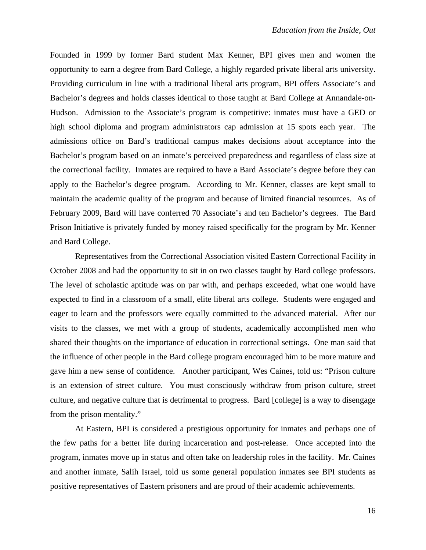Founded in 1999 by former Bard student Max Kenner, BPI gives men and women the opportunity to earn a degree from Bard College, a highly regarded private liberal arts university. Providing curriculum in line with a traditional liberal arts program, BPI offers Associate's and Bachelor's degrees and holds classes identical to those taught at Bard College at Annandale-on-Hudson. Admission to the Associate's program is competitive: inmates must have a GED or high school diploma and program administrators cap admission at 15 spots each year. The admissions office on Bard's traditional campus makes decisions about acceptance into the Bachelor's program based on an inmate's perceived preparedness and regardless of class size at the correctional facility. Inmates are required to have a Bard Associate's degree before they can apply to the Bachelor's degree program. According to Mr. Kenner, classes are kept small to maintain the academic quality of the program and because of limited financial resources. As of February 2009, Bard will have conferred 70 Associate's and ten Bachelor's degrees. The Bard Prison Initiative is privately funded by money raised specifically for the program by Mr. Kenner and Bard College.

 Representatives from the Correctional Association visited Eastern Correctional Facility in October 2008 and had the opportunity to sit in on two classes taught by Bard college professors. The level of scholastic aptitude was on par with, and perhaps exceeded, what one would have expected to find in a classroom of a small, elite liberal arts college. Students were engaged and eager to learn and the professors were equally committed to the advanced material. After our visits to the classes, we met with a group of students, academically accomplished men who shared their thoughts on the importance of education in correctional settings. One man said that the influence of other people in the Bard college program encouraged him to be more mature and gave him a new sense of confidence. Another participant, Wes Caines, told us: "Prison culture is an extension of street culture. You must consciously withdraw from prison culture, street culture, and negative culture that is detrimental to progress. Bard [college] is a way to disengage from the prison mentality."

At Eastern, BPI is considered a prestigious opportunity for inmates and perhaps one of the few paths for a better life during incarceration and post-release. Once accepted into the program, inmates move up in status and often take on leadership roles in the facility. Mr. Caines and another inmate, Salih Israel, told us some general population inmates see BPI students as positive representatives of Eastern prisoners and are proud of their academic achievements.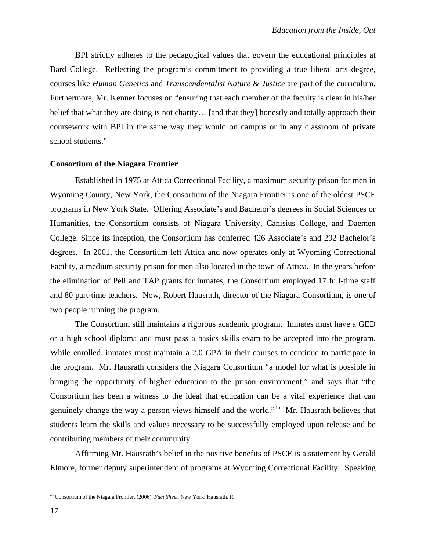BPI strictly adheres to the pedagogical values that govern the educational principles at Bard College. Reflecting the program's commitment to providing a true liberal arts degree, courses like *Human Genetics* and *Transcendentalist Nature & Justice* are part of the curriculum. Furthermore, Mr. Kenner focuses on "ensuring that each member of the faculty is clear in his/her belief that what they are doing is not charity… [and that they] honestly and totally approach their coursework with BPI in the same way they would on campus or in any classroom of private school students."

#### **Consortium of the Niagara Frontier**

Established in 1975 at Attica Correctional Facility, a maximum security prison for men in Wyoming County, New York, the Consortium of the Niagara Frontier is one of the oldest PSCE programs in New York State. Offering Associate's and Bachelor's degrees in Social Sciences or Humanities, the Consortium consists of Niagara University, Canisius College, and Daemen College. Since its inception, the Consortium has conferred 426 Associate's and 292 Bachelor's degrees. In 2001, the Consortium left Attica and now operates only at Wyoming Correctional Facility, a medium security prison for men also located in the town of Attica. In the years before the elimination of Pell and TAP grants for inmates, the Consortium employed 17 full-time staff and 80 part-time teachers. Now, Robert Hausrath, director of the Niagara Consortium, is one of two people running the program.

The Consortium still maintains a rigorous academic program. Inmates must have a GED or a high school diploma and must pass a basics skills exam to be accepted into the program. While enrolled, inmates must maintain a 2.0 GPA in their courses to continue to participate in the program. Mr. Hausrath considers the Niagara Consortium "a model for what is possible in bringing the opportunity of higher education to the prison environment," and says that "the Consortium has been a witness to the ideal that education can be a vital experience that can genuinely change the way a person views himself and the world."45 Mr. Hausrath believes that students learn the skills and values necessary to be successfully employed upon release and be contributing members of their community.

Affirming Mr. Hausrath's belief in the positive benefits of PSCE is a statement by Gerald Elmore, former deputy superintendent of programs at Wyoming Correctional Facility. Speaking

1

<sup>45</sup> Consortium of the Niagara Frontier. (2006). *Fact Sheet.* New York: Hausrath, R.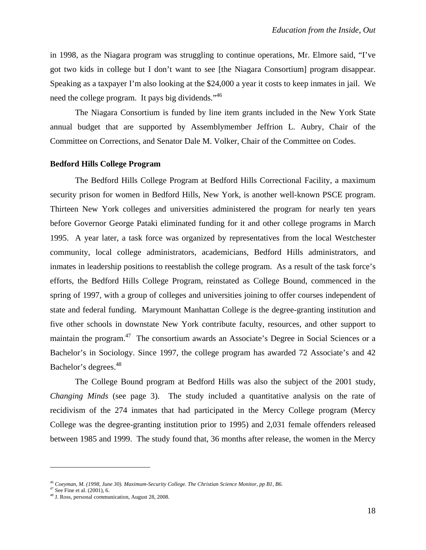in 1998, as the Niagara program was struggling to continue operations, Mr. Elmore said, "I've got two kids in college but I don't want to see [the Niagara Consortium] program disappear. Speaking as a taxpayer I'm also looking at the \$24,000 a year it costs to keep inmates in jail. We need the college program. It pays big dividends."<sup>46</sup>

The Niagara Consortium is funded by line item grants included in the New York State annual budget that are supported by Assemblymember Jeffrion L. Aubry, Chair of the Committee on Corrections, and Senator Dale M. Volker, Chair of the Committee on Codes.

#### **Bedford Hills College Program**

The Bedford Hills College Program at Bedford Hills Correctional Facility, a maximum security prison for women in Bedford Hills, New York, is another well-known PSCE program. Thirteen New York colleges and universities administered the program for nearly ten years before Governor George Pataki eliminated funding for it and other college programs in March 1995. A year later, a task force was organized by representatives from the local Westchester community, local college administrators, academicians, Bedford Hills administrators, and inmates in leadership positions to reestablish the college program. As a result of the task force's efforts, the Bedford Hills College Program, reinstated as College Bound, commenced in the spring of 1997, with a group of colleges and universities joining to offer courses independent of state and federal funding. Marymount Manhattan College is the degree-granting institution and five other schools in downstate New York contribute faculty, resources, and other support to maintain the program.<sup>47</sup> The consortium awards an Associate's Degree in Social Sciences or a Bachelor's in Sociology. Since 1997, the college program has awarded 72 Associate's and 42 Bachelor's degrees.<sup>48</sup>

The College Bound program at Bedford Hills was also the subject of the 2001 study, *Changing Minds* (see page 3). The study included a quantitative analysis on the rate of recidivism of the 274 inmates that had participated in the Mercy College program (Mercy College was the degree-granting institution prior to 1995) and 2,031 female offenders released between 1985 and 1999. The study found that, 36 months after release, the women in the Mercy

<sup>46</sup> *Coeyman, M. (1998, June 30). Maximum-Security College. The Christian Science Monitor, pp B1, B6.* 

 $47$  See Fine et al. (2001), 6.

<sup>48</sup> J. Ross, personal communication, August 28, 2008.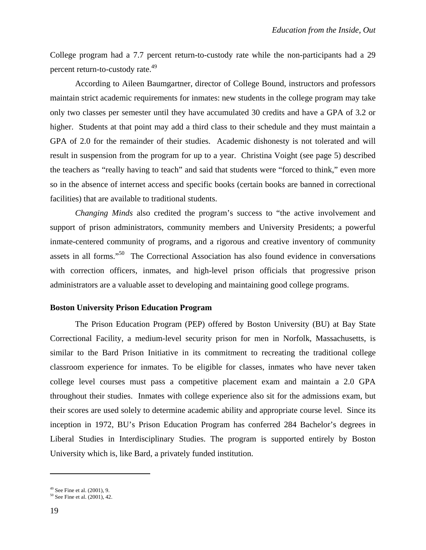College program had a 7.7 percent return-to-custody rate while the non-participants had a 29 percent return-to-custody rate.<sup>49</sup>

According to Aileen Baumgartner, director of College Bound, instructors and professors maintain strict academic requirements for inmates: new students in the college program may take only two classes per semester until they have accumulated 30 credits and have a GPA of 3.2 or higher. Students at that point may add a third class to their schedule and they must maintain a GPA of 2.0 for the remainder of their studies. Academic dishonesty is not tolerated and will result in suspension from the program for up to a year. Christina Voight (see page 5) described the teachers as "really having to teach" and said that students were "forced to think," even more so in the absence of internet access and specific books (certain books are banned in correctional facilities) that are available to traditional students.

*Changing Minds* also credited the program's success to "the active involvement and support of prison administrators, community members and University Presidents; a powerful inmate-centered community of programs, and a rigorous and creative inventory of community assets in all forms."50 The Correctional Association has also found evidence in conversations with correction officers, inmates, and high-level prison officials that progressive prison administrators are a valuable asset to developing and maintaining good college programs.

# **Boston University Prison Education Program**

The Prison Education Program (PEP) offered by Boston University (BU) at Bay State Correctional Facility, a medium-level security prison for men in Norfolk, Massachusetts, is similar to the Bard Prison Initiative in its commitment to recreating the traditional college classroom experience for inmates. To be eligible for classes, inmates who have never taken college level courses must pass a competitive placement exam and maintain a 2.0 GPA throughout their studies. Inmates with college experience also sit for the admissions exam, but their scores are used solely to determine academic ability and appropriate course level. Since its inception in 1972, BU's Prison Education Program has conferred 284 Bachelor's degrees in Liberal Studies in Interdisciplinary Studies. The program is supported entirely by Boston University which is, like Bard, a privately funded institution.

 $49$  See Fine et al.  $(2001)$ , 9.

<sup>50</sup> See Fine et al. (2001), 42.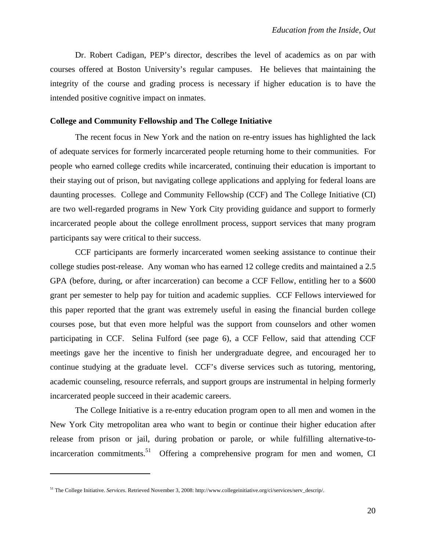Dr. Robert Cadigan, PEP's director, describes the level of academics as on par with courses offered at Boston University's regular campuses. He believes that maintaining the integrity of the course and grading process is necessary if higher education is to have the intended positive cognitive impact on inmates.

#### **College and Community Fellowship and The College Initiative**

 The recent focus in New York and the nation on re-entry issues has highlighted the lack of adequate services for formerly incarcerated people returning home to their communities. For people who earned college credits while incarcerated, continuing their education is important to their staying out of prison, but navigating college applications and applying for federal loans are daunting processes. College and Community Fellowship (CCF) and The College Initiative (CI) are two well-regarded programs in New York City providing guidance and support to formerly incarcerated people about the college enrollment process, support services that many program participants say were critical to their success.

CCF participants are formerly incarcerated women seeking assistance to continue their college studies post-release. Any woman who has earned 12 college credits and maintained a 2.5 GPA (before, during, or after incarceration) can become a CCF Fellow, entitling her to a \$600 grant per semester to help pay for tuition and academic supplies. CCF Fellows interviewed for this paper reported that the grant was extremely useful in easing the financial burden college courses pose, but that even more helpful was the support from counselors and other women participating in CCF. Selina Fulford (see page 6), a CCF Fellow, said that attending CCF meetings gave her the incentive to finish her undergraduate degree, and encouraged her to continue studying at the graduate level. CCF's diverse services such as tutoring, mentoring, academic counseling, resource referrals, and support groups are instrumental in helping formerly incarcerated people succeed in their academic careers.

The College Initiative is a re-entry education program open to all men and women in the New York City metropolitan area who want to begin or continue their higher education after release from prison or jail, during probation or parole, or while fulfilling alternative-toincarceration commitments.<sup>51</sup> Offering a comprehensive program for men and women, CI

<sup>51</sup> The College Initiative. *Services*. Retrieved November 3, 2008: http://www.collegeinitiative.org/ci/services/serv\_descrip/.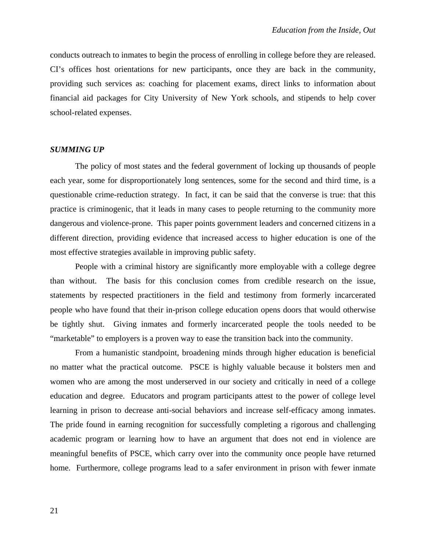conducts outreach to inmates to begin the process of enrolling in college before they are released. CI's offices host orientations for new participants, once they are back in the community, providing such services as: coaching for placement exams, direct links to information about financial aid packages for City University of New York schools, and stipends to help cover school-related expenses.

#### *SUMMING UP*

The policy of most states and the federal government of locking up thousands of people each year, some for disproportionately long sentences, some for the second and third time, is a questionable crime-reduction strategy. In fact, it can be said that the converse is true: that this practice is criminogenic, that it leads in many cases to people returning to the community more dangerous and violence-prone. This paper points government leaders and concerned citizens in a different direction, providing evidence that increased access to higher education is one of the most effective strategies available in improving public safety.

People with a criminal history are significantly more employable with a college degree than without. The basis for this conclusion comes from credible research on the issue, statements by respected practitioners in the field and testimony from formerly incarcerated people who have found that their in-prison college education opens doors that would otherwise be tightly shut. Giving inmates and formerly incarcerated people the tools needed to be "marketable" to employers is a proven way to ease the transition back into the community.

From a humanistic standpoint, broadening minds through higher education is beneficial no matter what the practical outcome. PSCE is highly valuable because it bolsters men and women who are among the most underserved in our society and critically in need of a college education and degree. Educators and program participants attest to the power of college level learning in prison to decrease anti-social behaviors and increase self-efficacy among inmates. The pride found in earning recognition for successfully completing a rigorous and challenging academic program or learning how to have an argument that does not end in violence are meaningful benefits of PSCE, which carry over into the community once people have returned home. Furthermore, college programs lead to a safer environment in prison with fewer inmate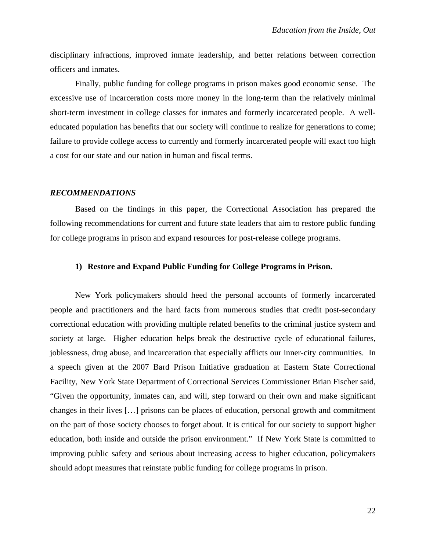disciplinary infractions, improved inmate leadership, and better relations between correction officers and inmates.

Finally, public funding for college programs in prison makes good economic sense. The excessive use of incarceration costs more money in the long-term than the relatively minimal short-term investment in college classes for inmates and formerly incarcerated people. A welleducated population has benefits that our society will continue to realize for generations to come; failure to provide college access to currently and formerly incarcerated people will exact too high a cost for our state and our nation in human and fiscal terms.

#### *RECOMMENDATIONS*

Based on the findings in this paper, the Correctional Association has prepared the following recommendations for current and future state leaders that aim to restore public funding for college programs in prison and expand resources for post-release college programs.

#### **1) Restore and Expand Public Funding for College Programs in Prison.**

New York policymakers should heed the personal accounts of formerly incarcerated people and practitioners and the hard facts from numerous studies that credit post-secondary correctional education with providing multiple related benefits to the criminal justice system and society at large. Higher education helps break the destructive cycle of educational failures, joblessness, drug abuse, and incarceration that especially afflicts our inner-city communities. In a speech given at the 2007 Bard Prison Initiative graduation at Eastern State Correctional Facility, New York State Department of Correctional Services Commissioner Brian Fischer said, "Given the opportunity, inmates can, and will, step forward on their own and make significant changes in their lives […] prisons can be places of education, personal growth and commitment on the part of those society chooses to forget about. It is critical for our society to support higher education, both inside and outside the prison environment." If New York State is committed to improving public safety and serious about increasing access to higher education, policymakers should adopt measures that reinstate public funding for college programs in prison.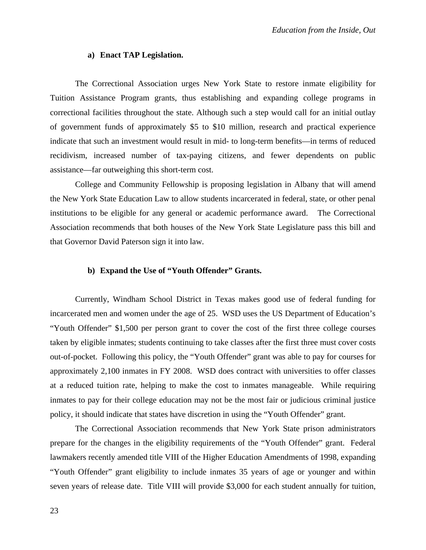#### **a) Enact TAP Legislation.**

The Correctional Association urges New York State to restore inmate eligibility for Tuition Assistance Program grants, thus establishing and expanding college programs in correctional facilities throughout the state. Although such a step would call for an initial outlay of government funds of approximately \$5 to \$10 million, research and practical experience indicate that such an investment would result in mid- to long-term benefits—in terms of reduced recidivism, increased number of tax-paying citizens, and fewer dependents on public assistance—far outweighing this short-term cost.

College and Community Fellowship is proposing legislation in Albany that will amend the New York State Education Law to allow students incarcerated in federal, state, or other penal institutions to be eligible for any general or academic performance award. The Correctional Association recommends that both houses of the New York State Legislature pass this bill and that Governor David Paterson sign it into law.

# **b) Expand the Use of "Youth Offender" Grants.**

Currently, Windham School District in Texas makes good use of federal funding for incarcerated men and women under the age of 25. WSD uses the US Department of Education's "Youth Offender" \$1,500 per person grant to cover the cost of the first three college courses taken by eligible inmates; students continuing to take classes after the first three must cover costs out-of-pocket. Following this policy, the "Youth Offender" grant was able to pay for courses for approximately 2,100 inmates in FY 2008. WSD does contract with universities to offer classes at a reduced tuition rate, helping to make the cost to inmates manageable. While requiring inmates to pay for their college education may not be the most fair or judicious criminal justice policy, it should indicate that states have discretion in using the "Youth Offender" grant.

The Correctional Association recommends that New York State prison administrators prepare for the changes in the eligibility requirements of the "Youth Offender" grant. Federal lawmakers recently amended title VIII of the Higher Education Amendments of 1998, expanding "Youth Offender" grant eligibility to include inmates 35 years of age or younger and within seven years of release date. Title VIII will provide \$3,000 for each student annually for tuition,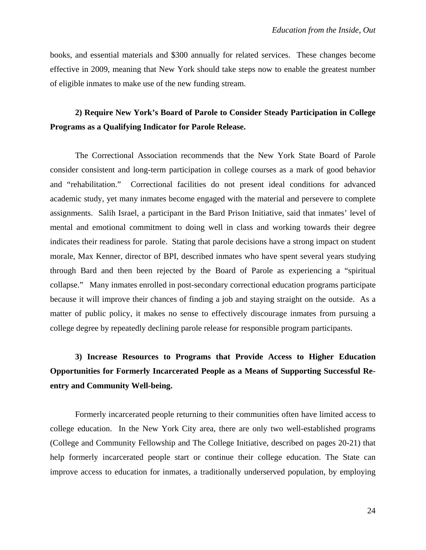books, and essential materials and \$300 annually for related services. These changes become effective in 2009, meaning that New York should take steps now to enable the greatest number of eligible inmates to make use of the new funding stream.

# **2) Require New York's Board of Parole to Consider Steady Participation in College Programs as a Qualifying Indicator for Parole Release.**

The Correctional Association recommends that the New York State Board of Parole consider consistent and long-term participation in college courses as a mark of good behavior and "rehabilitation." Correctional facilities do not present ideal conditions for advanced academic study, yet many inmates become engaged with the material and persevere to complete assignments. Salih Israel, a participant in the Bard Prison Initiative, said that inmates' level of mental and emotional commitment to doing well in class and working towards their degree indicates their readiness for parole. Stating that parole decisions have a strong impact on student morale, Max Kenner, director of BPI, described inmates who have spent several years studying through Bard and then been rejected by the Board of Parole as experiencing a "spiritual collapse." Many inmates enrolled in post-secondary correctional education programs participate because it will improve their chances of finding a job and staying straight on the outside. As a matter of public policy, it makes no sense to effectively discourage inmates from pursuing a college degree by repeatedly declining parole release for responsible program participants.

# **3) Increase Resources to Programs that Provide Access to Higher Education Opportunities for Formerly Incarcerated People as a Means of Supporting Successful Reentry and Community Well-being.**

Formerly incarcerated people returning to their communities often have limited access to college education. In the New York City area, there are only two well-established programs (College and Community Fellowship and The College Initiative, described on pages 20-21) that help formerly incarcerated people start or continue their college education. The State can improve access to education for inmates, a traditionally underserved population, by employing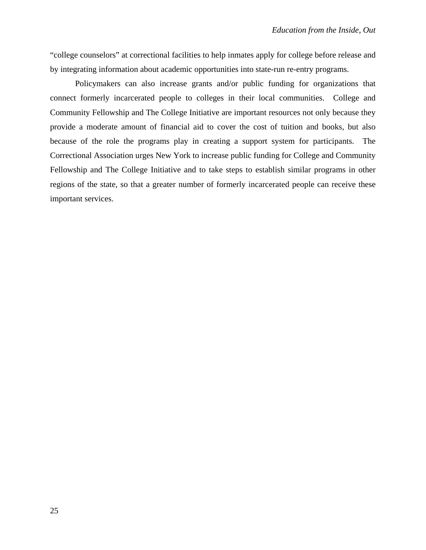"college counselors" at correctional facilities to help inmates apply for college before release and by integrating information about academic opportunities into state-run re-entry programs.

Policymakers can also increase grants and/or public funding for organizations that connect formerly incarcerated people to colleges in their local communities. College and Community Fellowship and The College Initiative are important resources not only because they provide a moderate amount of financial aid to cover the cost of tuition and books, but also because of the role the programs play in creating a support system for participants. The Correctional Association urges New York to increase public funding for College and Community Fellowship and The College Initiative and to take steps to establish similar programs in other regions of the state, so that a greater number of formerly incarcerated people can receive these important services.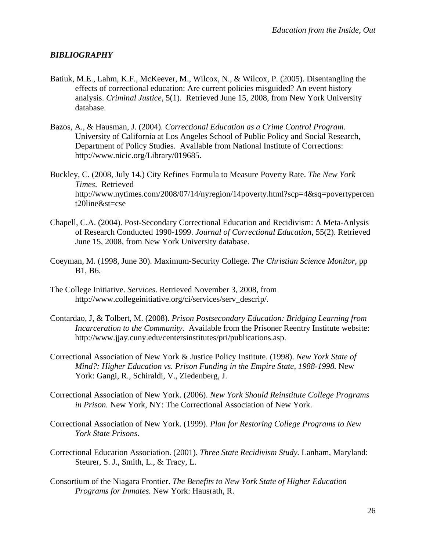# *BIBLIOGRAPHY*

- Batiuk, M.E., Lahm, K.F., McKeever, M., Wilcox, N., & Wilcox, P. (2005). Disentangling the effects of correctional education: Are current policies misguided? An event history analysis. *Criminal Justice*, 5(1). Retrieved June 15, 2008, from New York University database.
- Bazos, A., & Hausman, J. (2004). *Correctional Education as a Crime Control Program.* University of California at Los Angeles School of Public Policy and Social Research, Department of Policy Studies. Available from National Institute of Corrections: http://www.nicic.org/Library/019685.
- Buckley, C. (2008, July 14.) City Refines Formula to Measure Poverty Rate. *The New York Times*. Retrieved http://www.nytimes.com/2008/07/14/nyregion/14poverty.html?scp=4&sq=povertypercen t20line&st=cse
- Chapell, C.A. (2004). Post-Secondary Correctional Education and Recidivism: A Meta-Anlysis of Research Conducted 1990-1999. *Journal of Correctional Education,* 55(2). Retrieved June 15, 2008, from New York University database.
- Coeyman, M. (1998, June 30). Maximum-Security College. *The Christian Science Monitor*, pp B1, B6.
- The College Initiative. *Services*. Retrieved November 3, 2008, from http://www.collegeinitiative.org/ci/services/serv\_descrip/.
- Contardao, J, & Tolbert, M. (2008). *Prison Postsecondary Education: Bridging Learning from Incarceration to the Community.* Available from the Prisoner Reentry Institute website: http://www.jjay.cuny.edu/centersinstitutes/pri/publications.asp.
- Correctional Association of New York & Justice Policy Institute. (1998). *New York State of Mind?: Higher Education vs. Prison Funding in the Empire State, 1988-1998.* New York: Gangi, R., Schiraldi, V., Ziedenberg, J.
- Correctional Association of New York. (2006). *New York Should Reinstitute College Programs in Prison.* New York, NY: The Correctional Association of New York.
- Correctional Association of New York. (1999). *Plan for Restoring College Programs to New York State Prisons*.
- Correctional Education Association. (2001). *Three State Recidivism Study.* Lanham, Maryland: Steurer, S. J., Smith, L., & Tracy, L.
- Consortium of the Niagara Frontier. *The Benefits to New York State of Higher Education Programs for Inmates.* New York: Hausrath, R.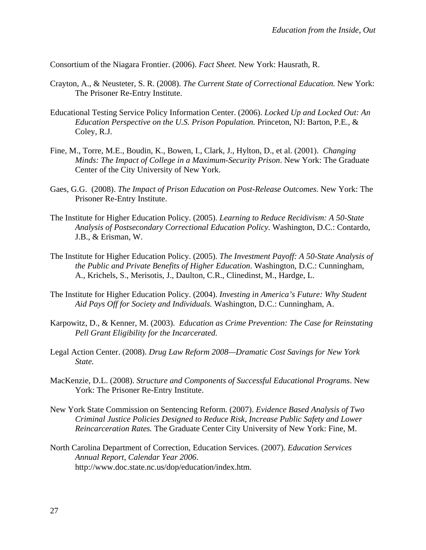Consortium of the Niagara Frontier. (2006). *Fact Sheet.* New York: Hausrath, R.

- Crayton, A., & Neusteter, S. R. (2008). *The Current State of Correctional Education.* New York: The Prisoner Re-Entry Institute.
- Educational Testing Service Policy Information Center. (2006). *Locked Up and Locked Out: An Education Perspective on the U.S. Prison Population.* Princeton, NJ: Barton, P.E., & Coley, R.J.
- Fine, M., Torre, M.E., Boudin, K., Bowen, I., Clark, J., Hylton, D., et al. (2001). *Changing Minds: The Impact of College in a Maximum-Security Prison*. New York: The Graduate Center of the City University of New York.
- Gaes, G.G. (2008). *The Impact of Prison Education on Post-Release Outcomes*. New York: The Prisoner Re-Entry Institute.
- The Institute for Higher Education Policy. (2005). *Learning to Reduce Recidivism: A 50-State Analysis of Postsecondary Correctional Education Policy.* Washington, D.C.: Contardo, J.B., & Erisman, W.
- The Institute for Higher Education Policy. (2005). *The Investment Payoff: A 50-State Analysis of the Public and Private Benefits of Higher Education*. Washington, D.C.: Cunningham, A., Krichels, S., Merisotis, J., Daulton, C.R., Clinedinst, M., Hardge, L.
- The Institute for Higher Education Policy. (2004). *Investing in America's Future: Why Student Aid Pays Off for Society and Individuals.* Washington, D.C.: Cunningham, A.
- Karpowitz, D., & Kenner, M. (2003). *Education as Crime Prevention: The Case for Reinstating Pell Grant Eligibility for the Incarcerated.*
- Legal Action Center. (2008). *Drug Law Reform 2008—Dramatic Cost Savings for New York State.*
- MacKenzie, D.L. (2008). *Structure and Components of Successful Educational Programs*. New York: The Prisoner Re-Entry Institute.
- New York State Commission on Sentencing Reform. (2007). *Evidence Based Analysis of Two Criminal Justice Policies Designed to Reduce Risk, Increase Public Safety and Lower Reincarceration Rates.* The Graduate Center City University of New York: Fine, M.
- North Carolina Department of Correction, Education Services. (2007). *Education Services Annual Report, Calendar Year 2006*. http://www.doc.state.nc.us/dop/education/index.htm.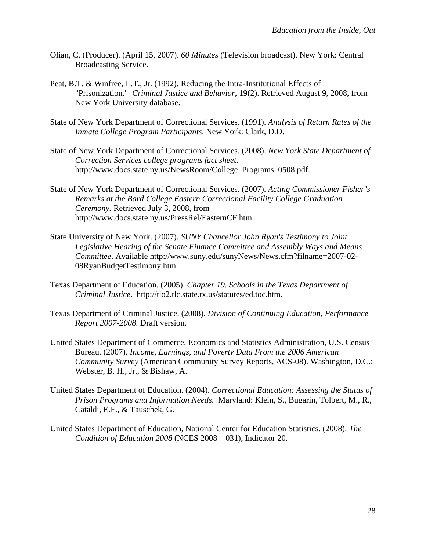- Olian, C. (Producer). (April 15, 2007). *60 Minutes* (Television broadcast). New York: Central Broadcasting Service.
- Peat, B.T. & Winfree, L.T., Jr. (1992). Reducing the Intra-Institutional Effects of "Prisonization." *Criminal Justice and Behavior*, 19(2). Retrieved August 9, 2008, from New York University database.
- State of New York Department of Correctional Services. (1991). *Analysis of Return Rates of the Inmate College Program Participants*. New York: Clark, D.D.
- State of New York Department of Correctional Services. (2008). *New York State Department of Correction Services college programs fact sheet*. http://www.docs.state.ny.us/NewsRoom/College\_Programs\_0508.pdf.
- State of New York Department of Correctional Services. (2007). *Acting Commissioner Fisher's Remarks at the Bard College Eastern Correctional Facility College Graduation Ceremony.* Retrieved July 3, 2008, from http://www.docs.state.ny.us/PressRel/EasternCF.htm.
- State University of New York. (2007). *SUNY Chancellor John Ryan's Testimony to Joint Legislative Hearing of the Senate Finance Committee and Assembly Ways and Means Committee*. Available http://www.suny.edu/sunyNews/News.cfm?filname=2007-02- 08RyanBudgetTestimony.htm.
- Texas Department of Education. (2005). *Chapter 19. Schools in the Texas Department of Criminal Justice*. http://tlo2.tlc.state.tx.us/statutes/ed.toc.htm.
- Texas Department of Criminal Justice. (2008). *Division of Continuing Education, Performance Report 2007-2008.* Draft version.
- United States Department of Commerce, Economics and Statistics Administration, U.S. Census Bureau. (2007). *Income, Earnings, and Poverty Data From the 2006 American Community Survey* (American Community Survey Reports, ACS-08). Washington, D.C.: Webster, B. H., Jr., & Bishaw, A.
- United States Department of Education. (2004). *Correctional Education: Assessing the Status of Prison Programs and Information Needs.* Maryland: Klein, S., Bugarin, Tolbert, M., R., Cataldi, E.F., & Tauschek, G.
- United States Department of Education, National Center for Education Statistics. (2008). *The Condition of Education 2008* (NCES 2008—031), Indicator 20.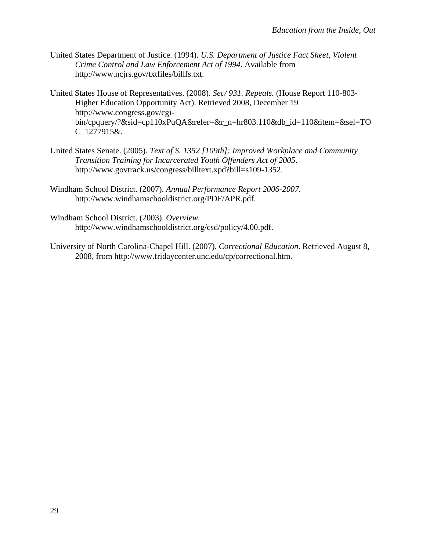- United States Department of Justice. (1994). *U.S. Department of Justice Fact Sheet, Violent Crime Control and Law Enforcement Act of 1994.* Available from http://www.ncjrs.gov/txtfiles/billfs.txt.
- United States House of Representatives. (2008). *Sec/ 931. Repeals.* (House Report 110-803- Higher Education Opportunity Act). Retrieved 2008, December 19 http://www.congress.gov/cgibin/cpquery/?&sid=cp110xPuQA&refer=&r\_n=hr803.110&db\_id=110&item=&sel=TO C\_1277915&.
- United States Senate. (2005). *Text of S. 1352 [109th]: Improved Workplace and Community Transition Training for Incarcerated Youth Offenders Act of 2005*. http://www.govtrack.us/congress/billtext.xpd?bill=s109-1352.
- Windham School District. (2007). *Annual Performance Report 2006-2007.* http://www.windhamschooldistrict.org/PDF/APR.pdf.
- Windham School District. (2003). *Overview.* http://www.windhamschooldistrict.org/csd/policy/4.00.pdf.
- University of North Carolina-Chapel Hill. (2007). *Correctional Education*. Retrieved August 8, 2008, from http://www.fridaycenter.unc.edu/cp/correctional.htm.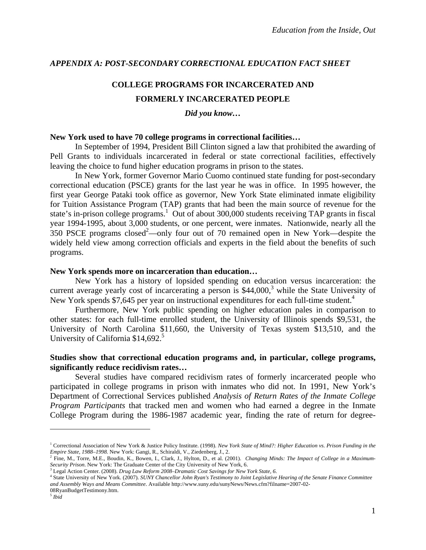# *APPENDIX A: POST-SECONDARY CORRECTIONAL EDUCATION FACT SHEET*

# **COLLEGE PROGRAMS FOR INCARCERATED AND FORMERLY INCARCERATED PEOPLE**

# *Did you know…*

## **New York used to have 70 college programs in correctional facilities…**

In September of 1994, President Bill Clinton signed a law that prohibited the awarding of Pell Grants to individuals incarcerated in federal or state correctional facilities, effectively leaving the choice to fund higher education programs in prison to the states.

In New York, former Governor Mario Cuomo continued state funding for post-secondary correctional education (PSCE) grants for the last year he was in office. In 1995 however, the first year George Pataki took office as governor, New York State eliminated inmate eligibility for Tuition Assistance Program (TAP) grants that had been the main source of revenue for the state's in-prison college programs.<sup>1</sup> Out of about 300,000 students receiving TAP grants in fiscal year 1994-1995, about 3,000 students, or one percent, were inmates. Nationwide, nearly all the  $350$  PSCE programs closed<sup>2</sup>—only four out of 70 remained open in New York—despite the widely held view among correction officials and experts in the field about the benefits of such programs.

## **New York spends more on incarceration than education…**

New York has a history of lopsided spending on education versus incarceration: the current average yearly cost of incarcerating a person is  $$44,000$ ,<sup>3</sup> while the State University of New York spends \$7,645 per year on instructional expenditures for each full-time student.<sup>4</sup>

 Furthermore, New York public spending on higher education pales in comparison to other states: for each full-time enrolled student, the University of Illinois spends \$9,531, the University of North Carolina \$11,660, the University of Texas system \$13,510, and the University of California \$14,692.<sup>5</sup>

# **Studies show that correctional education programs and, in particular, college programs, significantly reduce recidivism rates…**

Several studies have compared recidivism rates of formerly incarcerated people who participated in college programs in prison with inmates who did not. In 1991, New York's Department of Correctional Services published *Analysis of Return Rates of the Inmate College Program Participants* that tracked men and women who had earned a degree in the Inmate College Program during the 1986-1987 academic year, finding the rate of return for degree-

<sup>&</sup>lt;sup>1</sup> Correctional Association of New York & Justice Policy Institute. (1998). *New York State of Mind?: Higher Education vs. Prison Funding in the* Empire State, 1988–1998. New York: Gangi, R., Schiraldi, V., Ziedenberg, J., 2.<br><sup>2</sup> Fine, M., Torre, M.E., Boudin, K., Bowen, I., Clark, J., Hylton, D., et al. (2001). *Changing Minds: The Impact of College in a Maximum*-

*Security Prison*. New York: The Graduate Center of the City University of New York, 6. 3

Legal Action Center. (2008). *Drug Law Reform 2008–Dramatic Cost Savings for New York State, 6*. 4

State University of New York. (2007). *SUNY Chancellor John Ryan's Testimony to Joint Legislative Hearing of the Senate Finance Committee and Assembly Ways and Means Committee*. Available http://www.suny.edu/sunyNews/News.cfm?filname=2007-02- 08RyanBudgetTestimony.htm.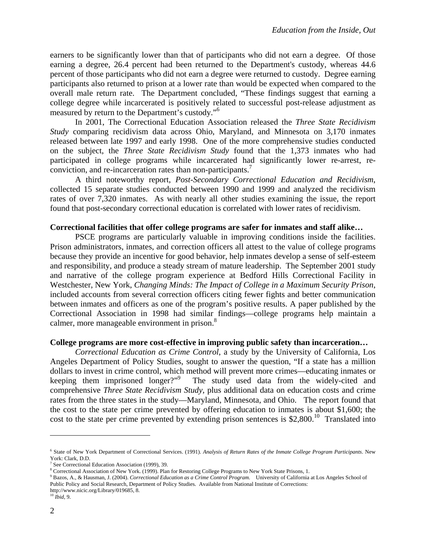earners to be significantly lower than that of participants who did not earn a degree. Of those earning a degree, 26.4 percent had been returned to the Department's custody, whereas 44.6 percent of those participants who did not earn a degree were returned to custody. Degree earning participants also returned to prison at a lower rate than would be expected when compared to the overall male return rate. The Department concluded, "These findings suggest that earning a college degree while incarcerated is positively related to successful post-release adjustment as measured by return to the Department's custody."<sup>6</sup>

In 2001, The Correctional Education Association released the *Three State Recidivism Study* comparing recidivism data across Ohio, Maryland, and Minnesota on 3,170 inmates released between late 1997 and early 1998. One of the more comprehensive studies conducted on the subject, the *Three State Recidivism Study* found that the 1,373 inmates who had participated in college programs while incarcerated had significantly lower re-arrest, reconviction, and re-incarceration rates than non-participants.<sup>7</sup>

A third noteworthy report, *Post-Secondary Correctional Education and Recidivism*, collected 15 separate studies conducted between 1990 and 1999 and analyzed the recidivism rates of over 7,320 inmates. As with nearly all other studies examining the issue, the report found that post-secondary correctional education is correlated with lower rates of recidivism.

#### **Correctional facilities that offer college programs are safer for inmates and staff alike…**

PSCE programs are particularly valuable in improving conditions inside the facilities. Prison administrators, inmates, and correction officers all attest to the value of college programs because they provide an incentive for good behavior, help inmates develop a sense of self-esteem and responsibility, and produce a steady stream of mature leadership. The September 2001 study and narrative of the college program experience at Bedford Hills Correctional Facility in Westchester, New York, *Changing Minds: The Impact of College in a Maximum Security Prison*, included accounts from several correction officers citing fewer fights and better communication between inmates and officers as one of the program's positive results. A paper published by the Correctional Association in 1998 had similar findings—college programs help maintain a calmer, more manageable environment in prison.<sup>8</sup>

#### **College programs are more cost-effective in improving public safety than incarceration…**

*Correctional Education as Crime Control*, a study by the University of California, Los Angeles Department of Policy Studies, sought to answer the question, "If a state has a million dollars to invest in crime control, which method will prevent more crimes—educating inmates or keeping them imprisoned longer?"<sup>9</sup> The study used data from the widely-cited and comprehensive *Three State Recidivism Study*, plus additional data on education costs and crime rates from the three states in the study—Maryland, Minnesota, and Ohio. The report found that the cost to the state per crime prevented by offering education to inmates is about \$1,600; the cost to the state per crime prevented by extending prison sentences is  $$2,800$ .<sup>10</sup> Translated into

1

<sup>6</sup> State of New York Department of Correctional Services. (1991). *Analysis of Return Rates of the Inmate College Program Participants*. New York: Clark, D.D.

See Correctional Education Association (1999), 39.

<sup>&</sup>lt;sup>8</sup> Correctional Association of New York. (1999). Plan for Restoring College Programs to New York State Prisons, 1.<br><sup>9</sup> Pages, A., & Hausman, J. (2004). Correctional Education as a Crime Control Program. University of Col

<sup>&</sup>lt;sup>9</sup> Bazos, A., & Hausman, J. (2004). *Correctional Education as a Crime Control Program*. University of California at Los Angeles School of Public Policy and Social Research, Department of Policy Studies. Available from National Institute of Corrections: http://www.nicic.org/Library/019685, 8.

<sup>10</sup> *Ibid,* 9.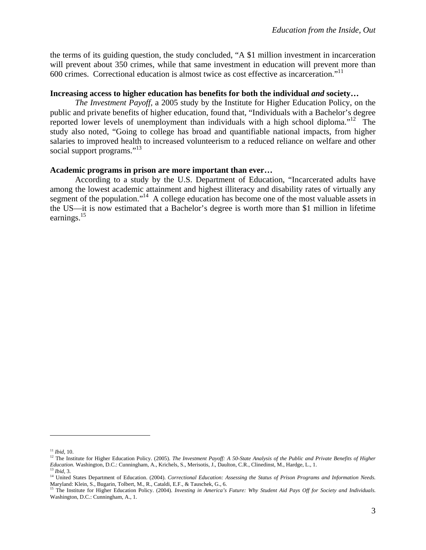the terms of its guiding question, the study concluded, "A \$1 million investment in incarceration will prevent about 350 crimes, while that same investment in education will prevent more than 600 crimes. Correctional education is almost twice as cost effective as incarceration."<sup>11</sup>

# **Increasing access to higher education has benefits for both the individual** *and* **society…**

*The Investment Payoff,* a 2005 study by the Institute for Higher Education Policy, on the public and private benefits of higher education, found that, "Individuals with a Bachelor's degree reported lower levels of unemployment than individuals with a high school diploma."<sup>12</sup> The study also noted, "Going to college has broad and quantifiable national impacts, from higher salaries to improved health to increased volunteerism to a reduced reliance on welfare and other social support programs."<sup>13</sup>

# **Academic programs in prison are more important than ever…**

According to a study by the U.S. Department of Education, "Incarcerated adults have among the lowest academic attainment and highest illiteracy and disability rates of virtually any segment of the population."<sup>14</sup> A college education has become one of the most valuable assets in the US—it is now estimated that a Bachelor's degree is worth more than \$1 million in lifetime earnings.<sup>15</sup>

1

<sup>&</sup>lt;sup>11</sup> *Ibid*, 10.<br><sup>12</sup> The Institute for Higher Education Policy. (2005). *The Investment Payoff: A 50-State Analysis of the Public and Private Benefits of Higher <br><i>Education*. Washington, D.C.: Cunningham, A., Krichels, S.

<sup>&</sup>lt;sup>13</sup> Ibid, 3.<br><sup>14</sup> United States Department of Education. (2004). Correctional Education: Assessing the Status of Prison Programs and Information Needs. Maryland: Klein, S., Bugarin, Tolbert, M., R., Cataldi, E.F., & Tauschek, G., 6.

<sup>&</sup>lt;sup>15</sup> The Institute for Higher Education Policy. (2004). *Investing in America's Future: Why Student Aid Pays Off for Society and Individuals.* Washington, D.C.: Cunningham, A., 1.